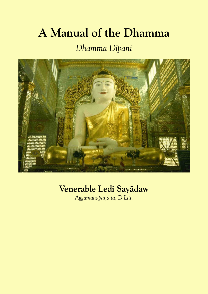# **A Manual of the Dhamma**

## *Dhamma Døpanø*



## **Venerable Ledi Sayædaw**

*Aggamahæpa¼ðita, D.Litt.*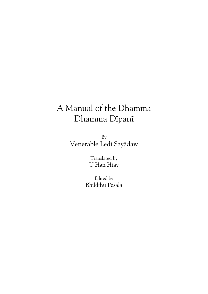## A Manual of the Dhamma Dhamma Dipani

By Venerable Ledi Sayædaw

> Translated by U Han Htay

Edited by Bhikkhu Pesala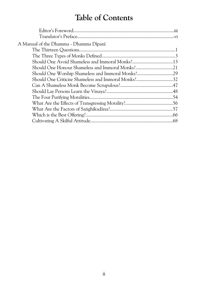## **Table of Contents**

| A Manual of the Dhamma - Dhamma Dipani              |  |
|-----------------------------------------------------|--|
|                                                     |  |
|                                                     |  |
| Should One Avoid Shameless and Immoral Monks?13     |  |
| Should One Honour Shameless and Immoral Monks?      |  |
| Should One Worship Shameless and Immoral Monks?29   |  |
| Should One Criticise Shameless and Immoral Monks?32 |  |
|                                                     |  |
|                                                     |  |
|                                                     |  |
|                                                     |  |
|                                                     |  |
|                                                     |  |
|                                                     |  |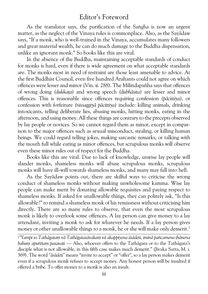## Editor's Foreword

As the translator says, the purification of the Sangha is now an urgent matter, as the neglect of the Vinaya rules is commonplace. Also, as the Sayædaw says, "If a monk, who is well-trained in the Vinaya, accumulates many followers and great material wealth, he can do much damage to the Buddha dispensation, unlike an ignorant monk." So books like this are vital.

In the absence of the Buddha, maintaining acceptable standards of conduct for monks is hard, even if there is wide agreement on what acceptable standards are. The monks most in need of restraint are those least amenable to advice. At the first Buddhist Council, even five hundred Arahants could not agree on which offences were lesser and minor (Vin. ii. 288). The Milindapañha says that offences of wrong doing*(dukka¥a)* and wrong speech*(dubhæsita)* are lesser and minor offences. This is reasonable since offences requiring confession*(pæcittiya),* or confession with forfeiture*(nissaggiyæ pæcittiya)* include: killing animals, drinking intoxicants, telling deliberate lies, abusing monks, hitting monks, eating in the afternoon, and using money. All these things are contrary to the precepts observed by lay people or novices. So we cannot regard them as minor, except in compar ison to the major offences such as sexual misconduct, stealing, or killing human beings. We could regard telling jokes, making sarcastic remarks, or talking with the mouth full while eating as minor offences, but scrupulous monks will observe even these minor rules out of respect for the Buddha.

Books like this are vital. Due to lack of knowledge, unwise lay people will slander monks, shameless monks will abuse scrupulous monks, scrupulous monks will have ill-will towards shameless monks, and many may fall into hell.

As the Sayædaw points out, there are skilful ways to criticise the wrong conduct of shameless monks without making unwholesome kamma. Wise lay people can make merit by donating allowable requisites and paying respect to shameless monks. If asked for unallowable things, they can politely ask, "Is this allowable?" to remind a shameless monk of his remissness without criticising him directly. There are so many rules to observe, that even the most scrupulous monk is likely to overlook some offences. A lay person can give money to a lay attendant, inviting a monk to ask for whatever he needs. If a lay person gives money or other unallowable things to a monk, he or she will make only demerit.<sup>1</sup>

1*"Yampi so Tathægataµ væ Tathægatasævakaµ væ akappiyena æsædeti, iminæ pañcamena ¥hænena bahum apuññam pasavati* — Also, whoever offers to the Tathāgata or to the Tathāgata's disciple what is not allowable, in this fifth case makes much demerit." (Jīvaka Sutta, M. i. 369). The word*"æsædeti"* means "invite to accept" or "offer", so a lay person makes demerit even if a scrupulous monk refuses to accept money. Any honest person will be insulted if offered a bribe. To offer money to a monk is also an insult.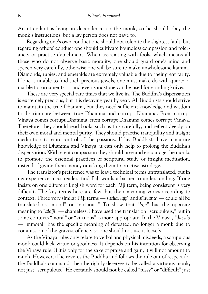An attendant is living in dependence on the monk, so he should obey the monk's instructions, but a lay person does not have to.

Regarding one's own conduct one should not tolerate the slightest fault, but regarding others' conduct one should cultivate boundless compassion and toler ance, or practise detachment. When associating with fools, which means all those who do not observe basic morality, one should guard one's mind and speech very carefully, otherwise one will be sure to make unwholesome kamma. Diamonds, rubies, and emeralds are extremely valuable due to their great rarity. If one is unable to find such precious jewels, one must make do with quartz or marble for ornaments — and even sandstone can be used for grinding knives!

These are very special rare times that we live in. The Buddha's dispensation is extremely precious, but it is decaying year by year. All Buddhists should strive to maintain the true Dhamma, but they need sufficient knowledge and wisdom to discriminate between true Dhamma and corrupt Dhamma. From corrupt Vinaya comes corrupt Dhamma; from corrupt Dhamma comes corrupt Vinaya. Therefore, they should read books such as this carefully, and reflect deeply on their own moral and mental purity. They should practise tranquillity and insight meditation to gain control of the passions. If lay Buddhists have a mature knowledge of Dhamma and Vinaya, it can only help to prolong the Buddha's dispensation. With great compassion they should urge and encourage the monks to promote the essential practices of scriptural study or insight meditation, instead of giving them money or asking them to practise astrology.

The translator's preference was to leave technical terms untranslated, but in my experience most readers find Pāli words a barrier to understanding. If one insists on one different English word for each Pāli term, being consistent is very difficult. The key terms here are few, but their meaning varies according to context. Three very similar Pāli terms — *susīla*, *lajjī*, and *sīlavanta* — could all be translated as "moral" or "virtuous." To show that*"lajjø"* has the opposite meaning to "*alajji*" — shameless, I have used the translation "scrupulous," but in some contexts "moral" or "virtuous" is more appropriate. In the Vinaya, "dussilo — immoral" has the specific meaning of defeated, no longer a monk due to commission of the gravest offence, so one should not use it loosely.

As the Vinaya rules only relate to verbal and physical misdeeds, a scrupulous monk could lack virtue or goodness. It depends on his intention for observing the Vinaya rule. If it is only for the sake of praise and gain, it will not amount to much. However, if he reveres the Buddha and follows the rule out of respect for the Buddha's command, then he rightly deserves to be called a virtuous monk, not just "scrupulous." He certainly should not be called "fussy" or "difficult" just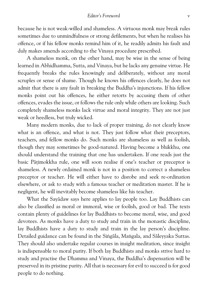because he is not weak-willed and shameless. A virtuous monk may break rules sometimes due to unmindfulness or strong defilements, but when he realises his offence, or if his fellow monks remind him of it, he readily admits his fault and duly makes amends according to the Vinaya procedure prescribed.

A shameless monk, on the other hand, may be wise in the sense of being learned in Abhidhamma, Sutta, and Vinaya, but he lacks any genuine virtue. He frequently breaks the rules knowingly and deliberately, without any moral scruples or sense of shame. Though he knows his offences clearly, he does not admit that there is any fault in breaking the Buddha's injunctions. If his fellow monks point out his offences, he either retorts by accusing them of other offences, evades the issue, or follows the rule only while others are looking. Such completely shameless monks lack virtue and moral integrity. They are not just weak or heedless, but truly wicked.

Many modern monks, due to lack of proper training, do not clearly know what is an offence, and what is not. They just follow what their preceptors, teachers, and fellow monks do. Such monks are shameless as well as foolish, though they may sometimes be good-natured. Having become a bhikkhu, one should understand the training that one has undertaken. If one reads just the basic Pātimokkha rule, one will soon realise if one's teacher or preceptor is shameless. A newly ordained monk is not in a position to correct a shameless preceptor or teacher. He will either have to disrobe and seek re-ordination elsewhere, or ask to study with a famous teacher or meditation master. If he is negligent, he will inevitably become shameless like his teacher.

What the Savādaw says here applies to lay people too. Lay Buddhists can also be classified as moral or immoral, wise or foolish, good or bad. The texts contain plenty of guidelines for lay Buddhists to become moral, wise, and good devotees. As monks have a duty to study and train in the monastic discipline, lay Buddhists have a duty to study and train in the lay person's discipline. Detailed guidance can be found in the Singāla, Mangala, and Sāleyyaka Suttas. They should also undertake regular courses in insight meditation, since insight is indispensable to moral purity. If both lay Buddhists and monks strive hard to study and practise the Dhamma and Vinaya, the Buddha's dispensation will be preserved in its pristine purity. All that is necessary for evil to succeed is for good people to do nothing.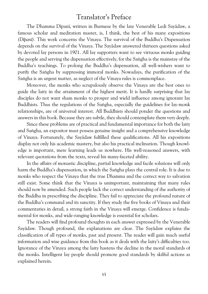## Translator's Preface

The Dhamma Dipani, written in Burmese by the late Venerable Ledi Sayādaw, a famous scholar and meditation master, is, I think, the best of his many expositions *(Døpanø).* This work concerns the Vinaya. The survival of the Buddha's Dispensation depends on the survival of the Vinaya. The Sayædaw answered thirteen questions asked by devoted lay persons in 1901. All lay supporters want to see virtuous monks guiding the people and serving the dispensation effectively, for the Saṅgha is the mainstay of the Buddha's teachings. To prolong the Buddha's dispensation, all well-wishers want to purify the Sangha by suppressing immoral monks. Nowadays, the purification of the Sangha is an urgent matter, as neglect of the Vinaya rules is commonplace.

Moreover, the monks who scrupulously observe the Vinaya are the best ones to guide the laity in the attainment of the highest merit. It is hardly surprising that lay disciples do not want sham monks to prosper and wield influence among ignorant lay Buddhists. Thus the regulations of the Sangha, especially the guidelines for lay-monk relationships, are of universal interest. All Buddhists should ponder the questions and answers in this book. Because they are subtle, they should contemplate them very deeply.

Since these problems are of practical and fundamental importance for both the laity and Sangha, an expositor must possess genuine insight and a comprehensive knowledge of Vinaya. Fortunately, the Sayædaw fulfilled these qualifications. All his expositions display not only his academic mastery, but also his practical inclination. Though knowl edge is important, mere learning leads us nowhere. His well-reasoned answers, with relevant quotations from the texts, reveal his many-faceted ability.

In the affairs of monastic discipline, partial knowledge and facile solutions will only harm the Buddha's dispensation, in which the Sangha plays the central role. It is due to monks who respect the Vinaya that the true Dhamma and the correct way to salvation still exist. Some think that the Vinaya is unimportant, maintaining that many rules should now be amended. Such people lack the correct understanding of the authority of the Buddha in prescribing the discipline. They fail to appreciate the profound nature of the Buddha's command and its sanctity. If they study the five books of Vinaya and their commentaries in detail, a strong faith in the Vinaya will emerge. Confidence is funda mental for monks, and wide-ranging knowledge is essential for scholars.

The readers will find profound thoughts in each answer expressed by the Venerable Sayædaw. Though profound, the explanations are clear. The Sayædaw explains the classification of all types of monks, past and present. The reader will gain much useful information and wise guidance from this book as it deals with the laity's difficulties too. Ignorance of the Vinaya among the laity hastens the decline in the moral standards of the monks. Intelligent lay people should promote good standards by skilful actions as explained herein.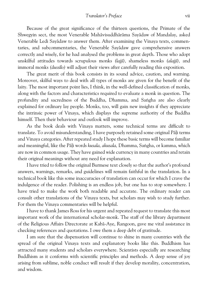Because of the great significance of the thirteen questions, the Primate of the Shwegyin sect, the most Venerable Mahævisuddhæræma Sayædaw of Mandalay, asked Venerable Ledi Savādaw to answer them. After examining the Vinaya texts, commentaries, and subcommentaries, the Venerable Sayædaw gave comprehensive answers correctly and wisely, for he had analysed the problems in great depth. Those who adopt unskilful attitudes towards scrupulous monks*(lajjø),* shameless monks*(alajjø),* and immoral monks*(dussølo)* will adjust their views after carefully reading this exposition.

The great merit of this book consists in its sound advice, caution, and warning. Moreover, skilful ways to deal with all types of monks are given for the benefit of the laity. The most important point lies, I think, in the well-defined classification of monks, along with the factors and characteristics required to evaluate a monk in question. The profundity and sacredness of the Buddha, Dhamma, and Sangha are also clearly explained for ordinary lay people. Monks, too, will gain new insights if they appreciate the intrinsic power of Vinaya, which displays the supreme authority of the Buddha himself. Then their behaviour and outlook will improve.

As the book deals with Vinaya matters, some technical terms are difficult to translate. To avoid misunderstanding, I have purposely retained some original Pāli terms and Vinaya categories. After repeated study I hope these basic terms will become familiar and meaningful, like the Pāli words *kusala, akusala*, Dhamma, Sangha, or kamma, which are now in common usage. They have gained wide currency in many countries and retain their original meanings without any need for explanation.

I have tried to follow the original Burmese text closely so that the author's profound answers, warnings, remarks, and guidelines will remain faithful in the translation. In a technical book like this some inaccuracies of translation can occur for which I crave the indulgence of the reader. Polishing is an endless job, but one has to stop somewhere. I have tried to make the work both readable and accurate. The ordinary reader can consult other translations of the Vinaya texts, but scholars may wish to study further. For them the Vinaya commentaries will be helpful.

I have to thank James Ross for his urgent and repeated request to translate this most important work of the international scholar-monk. The staff of the library department of the Religious Affairs Directorate at Kabæ-Aye, Rangoon, gave me vital assistance in checking references and quotations. I owe them a deep debt of gratitude.

I am sure that the dispensation will continue to shine in many countries with the spread of the original Vinaya texts and explanatory books like this. Buddhism has attracted many students and scholars everywhere. Scientists especially are researching Buddhism as it conforms with scientific principles and methods. A deep sense of joy arising from sublime, noble conduct will result if they develop morality, concentration, and wisdom.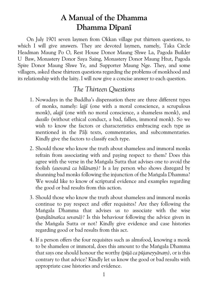## **A Manual of the Dhamma Dhamma Dipani**

On July 1901 seven laymen from Okkan village put thirteen questions, to which I will give answers. They are devoted laymen, namely, Taka Circle Headman Maung Po O, Rest House Donor Maung Shwe La, Pagoda Builder U Baw, Monastery Donor Saya Saing, Monastery Donor Maung Htut, Pagoda Spire Donor Maung Shwe Ye, and Supporter Maung Nge. They, and some villagers, asked these thirteen questions regarding the problems of monkhood and its relationship with the laity. I will now give a concise answer to each question.

## *The Thirteen Questions*

- 1. Nowadays in the Buddha's dispensation there are three different types of monks, namely:*lajjø* (one with a moral conscience, a scrupulous monk),*alajjø* (one with no moral conscience, a shameless monk), and *dussølo* (without ethical conduct, a bad, fallen, immoral monk). So we wish to know the factors or characteristics embracing each type as mentioned in the Pali texts, commentaries, and subcommentaries. Kindly give the factors to classify each type.
- 2. Should those who know the truth about shameless and immoral monks refrain from associating with and paying respect to them? Does this agree with the verse in the Mangala Sutta that advises one to avoid the foolish *(asevanā ca bālānam)*? Is a lay person who shows disregard by shunning bad monks following the injunction of the Mangala Dhamma? We would like to know of scriptural evidence and examples regarding the good or bad results from this action.
- 3. Should those who know the truth about shameless and immoral monks continue to pay respect and offer requisites? Are they following the Mangala Dhamma that advises us to associate with the wise (panditānañca sevanā)? Is this behaviour following the advice given in the Mangala Sutta or not? Kindly give evidence and case histories regarding good or bad results from this act.
- 4. If a person offers the four requisites such as almsfood, knowing a monk to be shameless or immoral, does this amount to the Mangala Dhamma that says one should honour the worthy (*pūjā ca pūjaneyyānam*), or is this contrary to that advice? Kindly let us know the good or bad results with appropriate case histories and evidence.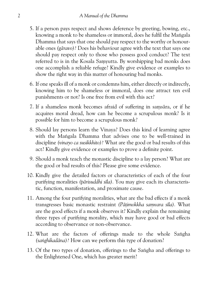- 5. If a person pays respect and shows deference by greeting, bowing, etc., knowing a monk to be shameless or immoral, does he fulfil the Mangala Dhamma that says that one should pay respect to the worthy or honour able ones*(gæravo)?* Does his behaviour agree with the text that says one should pay respect only to those who possess good conduct? The text referred to is in the Kosala Samyutta. By worshipping bad monks does one accomplish a reliable refuge? Kindly give evidence or examples to show the right way in this matter of honouring bad monks.
- 6. If one speaks ill of a monk or condemns him, either directly or indirectly, knowing him to be shameless or immoral, does one attract ten evil punishments or not? Is one free from evil with this act?
- 7. If a shameless monk becomes afraid of suffering in samsāra, or if he acquires moral dread, how can he become a scrupulous monk? Is it possible for him to become a scrupulous monk?
- 8. Should lay persons learn the Vinaya? Does this kind of learning agree with the Mangala Dhamma that advises one to be well-trained in discipline*(vinayo ca susikkhito)?* What are the good or bad results of this act? Kindly give evidence or examples to prove a definite point.
- 9. Should a monk teach the monastic discipline to a lay person? What are the good or bad results of this? Please give some evidence.
- 10. Kindly give the detailed factors or characteristics of each of the four purifying moralities (pārisuddhi sīla). You may give each its characteristic, function, manifestation, and proximate cause.
- 11. Among the four purifying moralities, what are the bad effects if a monk transgresses basic monastic restraint (Pātimokkha samvara sīla). What are the good effects if a monk observes it? Kindly explain the remaining three types of purifying morality, which may have good or bad effects according to observance or non-observance.
- 12. What are the factors of offerings made to the whole Sangha *(sanghikadāna)?* How can we perform this type of donation?
- 13. Of the two types of donation, offerings to the Sangha and offerings to the Enlightened One, which has greater merit?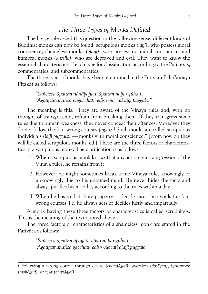### *The Three Types of Monks Defined*

The lay people asked this question in the following sense: different kinds of Buddhist monks can now be found: scrupulous monks*(lajjø),* who possess moral conscience; shameless monks*(alajjø),* who possess no moral conscience, and immoral monks*(dussølo),* who are depraved and evil. They want to know the essential characteristics of each type for classification according to the Pali texts, commentaries, and subcommentaries.

The three types of monks have been mentioned in the Parivāra Pāli (Vinaya Pitaka) as follows:

> *"Sañcicca æpattiµ nænæpajjati, æpattiµ naparigþhati. Agatigamanañca nagacchati, ediso vuccati lajjø puggalo."*

The meaning is this: "They are aware of the Vinaya rules and, with no thought of transgression, refrain from breaking them. If they transgress some rules due to human weakness, they never conceal their offences. Moreover they do not follow the four wrong courses*(agati).*1 Such monks are called scrupulous individuals*(lajjø puggala)* — monks with moral conscience." [From now on they will be called scrupulous monks, ed.] These are the three factors or characteris tics of a scrupulous monk. The clarification is as follows:

- 1. When a scrupulous monk knows that any action is a transgression of the Vinaya rules, he refrains from it.
- 2. However, he might sometimes break some Vinaya rules knowingly or unknowingly due to his untamed mind. He never hides the facts and always purifies his morality according to the rules within a day.
- 3. When he has to distribute property or decide cases, he avoids the four wrong courses, i.e. he always acts or decides justly and impartially.

A monk having these three factors or characteristics is called scrupulous. This is the meaning of the text quoted above.

The three factors or characteristics of a shameless monk are stated in the Parivāra as follows:

> *"Sañcicca æpattiµ æpajjati, æpattiµ parigþhati. Agatigamanañca gacchati, ediso vuccati alajjø puggalo."*

<sup>1</sup> Following a wrong course through desire*(chandægati),* aversion*(dosægati),* ignorance *(mohægati),* or fear*(bhayægati).*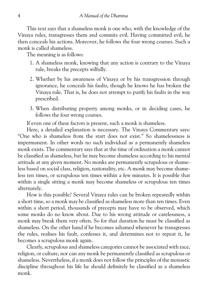This text says that a shameless monk is one who, with the knowledge of the Vinaya rules, transgresses them and commits evil. Having committed evil, he then conceals his actions. Moreover, he follows the four wrong courses. Such a monk is called shameless.

The meaning is as follows:

- 1. A shameless monk, knowing that any action is contrary to the Vinaya rule, breaks the precepts wilfully.
- 2. Whether by his awareness of Vinaya or by his transgression through ignorance, he conceals his faults, though he knows he has broken the Vinaya rule. That is, he does not attempt to purify his faults in the way prescribed.
- 3. When distributing property among monks, or in deciding cases, he follows the four wrong courses.

If even one of these factors is present, such a monk is shameless.

Here, a detailed explanation is necessary. The Vinaya Commentary says: "One who is shameless from the start does not exist." So shamelessness is impermanent. In other words no such individual as a permanently shameless monk exists. The commentary says that at the time of ordination a monk cannot be classified as shameless, but he may become shameless according to his mental attitude at any given moment. No monks are permanently scrupulous or shame less based on social class, religion, nationality, etc. A monk may become shame less ten times, or scrupulous ten times within a few minutes. It is possible that within a single sitting a monk may become shameless or scrupulous ten times alternately.

How is this possible? Several Vinaya rules can be broken repeatedly within a short time, so a monk may be classified as shameless more than ten times. Even within a short period, thousands of precepts may have to be observed, which some monks do no know about. Due to his wrong attitude or carelessness, a monk may break them very often. So for that duration he must be classified as shameless. On the other hand if he becomes ashamed whenever he transgresses the rules, realises his fault, confesses it, and determines not to repeat it, he becomes a scrupulous monk again.

Clearly, scrupulous and shameless categories cannot be associated with race, religion, or culture, nor can any monk be permanently classified as scrupulous or shameless. Nevertheless, if a monk does not follow the principles of the monastic discipline throughout his life he should definitely be classified as a shameless monk.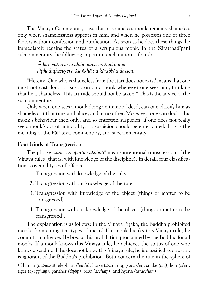The Vinaya Commentary says that a shameless monk remains shameless only when shamelessness appears in him, and when he possesses one of three factors without confession and purification. As soon as he does these things, he immediately regains the status of a scrupulous monk. In the Sāratthadīpanī subcommentary the following important explanation is found:

> *"Ædito pa¥¥hæya hi alajjø næma natthøti iminæ di¥¥hadi¥¥hesuyeva æsa³khæ na kætabbæti dasseti."*

"Herein: 'One who is shameless from the start does not exist' means that one must not cast doubt or suspicion on a monk whenever one sees him, thinking that he is shameless. This attitude should not be taken." This is the advice of the subcommentary.

Only when one sees a monk doing an immoral deed, can one classify him as shameless at that time and place, and at no other. Moreover, one can doubt this monk's behaviour then only, and so entertain suspicion. If one does not really see a monk's act of immorality, no suspicion should be entertained. This is the meaning of the Pali text, commentary, and subcommentary.

#### **Four Kinds of Transgression**

The phrase "sañcicca āpattim āpajjati" means intentional transgression of the Vinaya rules (that is, with knowledge of the discipline). In detail, four classifica tions cover all types of offence:

- 1. Transgression with knowledge of the rule.
- 2. Transgression without knowledge of the rule.
- 3. Transgression with knowledge of the object (things or matter to be transgressed).
- 4. Transgression without knowledge of the object (things or matter to be transgressed).

The explanation is as follows: In the Vinaya Pitaka, the Buddha prohibited monks from eating ten types of meat.<sup>1</sup> If a monk breaks this Vinaya rule, he commits an offence. He breaks this prohibition proclaimed by the Buddha for all monks. If a monk knows this Vinaya rule, he achieves the status of one who knows discipline. If he does not know this Vinaya rule, he is classified as one who is ignorant of the Buddha's prohibition. Both concern the rule in the sphere of

<sup>1</sup> Human*(manussa),* elephant*(hatthi),* horse*(assa),* dog*(sunakha),* snake*(ahi),* lion*(søha),* tiger (byaggham), panther (dīpim), bear (accham), and hyena (taraccham).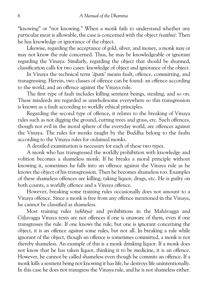"knowing" or "not knowing." When a monk fails to understand whether any particular meat is allowable, the case is concerned with the object*(vatthu).* Then he has knowledge or ignorance of the object.

Likewise, regarding the acceptance of gold, silver, and money, a monk may or may not know the rule concerned. Thus, he may be knowledgeable or ignorant regarding the Vinaya. Similarly, regarding the object that should be shunned, classification calls for two cases: knowledge of object and ignorance of the object.

In Vinaya the technical term*'æpatti'* means fault, offence, committing, and transgressing. Herein, two classes of offence can be found: an offence according to the world, and an offence against the Vinaya rule.

The first type of fault includes killing sentient beings, stealing, and so on. These misdeeds are regarded as unwholesome everywhere so this transgression is known as a fault according to worldly ethical principles.

Regarding the second type of offence, it relates to the breaking of Vinaya rules such as not digging the ground, cutting trees and grass, etc. Such offences, though not evil in the moral sphere of the everyday world, are offences against the Vinaya. The rules for monks taught by the Buddha belong to the faults according to the Vinaya rules for ordained monks.

A detailed examination is necessary for each of these two types.

A monk who has transgressed the worldly prohibition with knowledge and volition becomes a shameless monk. If he breaks a moral principle without knowing it, sometimes he falls into an offence against the Vinaya rule as he knows the object of his transgression. Then he becomes shameless too. Examples of these shameless offences are killing, taking liquor, drugs, etc. He is guilty on both counts, a worldly offence and a Vinaya offence.

However, breaking some training rules occasionally does not amount to a Vinaya offence. Since a monk is free from any offence mentioned in the Vinaya, he cannot be classified as shameless.

Most training rules*(sekhiya)* and prohibitions in the Mahævagga and Cūlavagga Vinaya texts are not offences if one is unaware of them, even if one transgresses the rule. If one knows the rule, but one is ignorant concerning the object, it is an offence against some rules, but not all. In breaking a rule while ignorant of the object, though an offence is sometimes committed, a monk is not thereby shameless. An example of this is a monk drinking liquor. If a monk does not know that he has taken liquor, thinking it to be medicine, it is an offence. However, he cannot be called shameless even though he commits an offence. If a monk kills a sentient being not knowing it has life, he destroys life unintentionally. In this case he does not transgress the Vinaya rule, and he is not shameless either.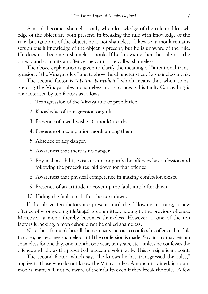A monk becomes shameless only when knowledge of the rule and knowl edge of the object are both present. In breaking the rule with knowledge of the rule, but ignorant of the object, he is not shameless. Likewise, a monk remains scrupulous if knowledge of the object is present, but he is unaware of the rule. He does not become a shameless monk. If he knows neither the rule nor the object, and commits an offence, he cannot be called shameless.

The above explanation is given to clarify the meaning of "intentional trans gression of the Vinaya rules," and to show the characteristics of a shameless monk.

The second factor is "āpattim parigūhati," which means that when transgressing the Vinaya rules a shameless monk conceals his fault. Concealing is characterised by ten factors as follows:

1. Transgression of the Vinaya rule or prohibition.

- 2. Knowledge of transgression or guilt.
- 3. Presence of a well-wisher (a monk) nearby.

4. Presence of a companion monk among them.

5. Absence of any danger.

- 6. Awareness that there is no danger.
- 7. Physical possibility exists to cure or purify the offences by confession and following the procedures laid down for that offence.
- 8. Awareness that physical competence in making confession exists.
- 9. Presence of an attitude to cover up the fault until after dawn.

10. Hiding the fault until after the next dawn.

If the above ten factors are present until the following morning, a new offence of wrong-doing *(dukkata)* is committed, adding to the previous offence. Moreover, a monk thereby becomes shameless. However, if one of the ten factors is lacking, a monk should not be called shameless.

Note that if a monk has all the necessary factors to confess his offence, but fails to do so, he becomes shameless until the confession is made. So a monk may remain shameless for one day, one month, one year, ten years, etc., unless he confesses the offence and follows the prescribed procedure voluntarily. This is a significant point.

The second factor, which says "he knows he has transgressed the rules," applies to those who do not know the Vinaya rules. Among untrained, ignorant monks, many will not be aware of their faults even if they break the rules. A few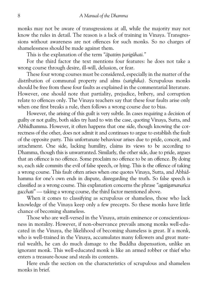monks may not be aware of transgressions at all, while the majority may not know the rules in detail. The reason is a lack of training in Vinaya. Transgres sions without awareness are not offences for such monks. So no charges of shamelessness should be made against them.

This is the explanation of the term "*ābattim parigūhati.*"

For the third factor the text mentions four features: he does not take a wrong course through desire, ill-will, delusion, or fear.

These four wrong courses must be considered, especially in the matter of the distribution of communal property and alms *(sanghika)*. Scrupulous monks should be free from these four faults as explained in the commentarial literature. However, one should note that partiality, prejudice, bribery, and corruption relate to offences only. The Vinaya teachers say that these four faults arise only when one first breaks a rule, then follows a wrong course due to bias.

However, the arising of this guilt is very subtle. In cases requiring a decision of guilty or not guilty, both sides try hard to win the case, quoting Vinaya, Sutta, and Abhidhamma. However, it often happens that one side, though knowing the cor rectness of the other, does not admit it and continues to argue to establish the fault of the opposite party. This unfortunate behaviour arises due to pride, conceit, and attachment. One side, lacking humility, claims its views to be according to Dhamma, though this is unwarranted. Similarly, the other side, due to pride, argues that an offence is no offence. Some proclaim no offence to be an offence. By doing so, each side commits the evil of false speech, or lying. This is the offence of taking a wrong course. This fault often arises when one quotes Vinaya, Sutta, and Abhid hamma for one's own ends in dispute, disregarding the truth. So false speech is classified as a wrong course. This explanation concerns the phrase*"agatigamanañca gacchati"* — taking a wrong course, the third factor mentioned above.

When it comes to classifying as scrupulous or shameless, those who lack knowledge of the Vinaya keep only a few precepts. So these monks have little chance of becoming shameless.

Those who are well-versed in the Vinaya, attain eminence or conscientious ness in morality. However, if non-observance prevails among monks well-edu cated in the Vinaya, the likelihood of becoming shameless is great. If a monk, who is well-trained in the Vinaya, accumulates many followers and great mate rial wealth, he can do much damage to the Buddha dispensation, unlike an ignorant monk. This well-educated monk is like an armed robber or thief who enters a treasure-house and steals its contents.

Here ends the section on the characteristics of scrupulous and shameless monks in brief.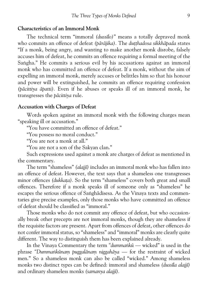#### **Characteristics of an Immoral Monk**

The technical term "immoral*(dussølo)*" means a totally depraved monk who commits an offence of defeat (pārājika). The dutthadosa sikkhāpada states "If a monk, being angry, and wanting to make another monk disrobe, falsely accuses him of defeat, he commits an offence requiring a formal meeting of the Sangha." He commits a serious evil by his accusations against an immoral monk who has committed an offence of defeat. If a monk, without the aim of expelling an immoral monk, merely accuses or belittles him so that his honour and power will be extinguished, he commits an offence requiring confession *(pæcittiya æpatti).* Even if he abuses or speaks ill of an immoral monk, he transgresses the *bācittiva* rule.

#### **Accusation with Charges of Defeat**

Words spoken against an immoral monk with the following charges mean "speaking ill or accusation."

"You have committed an offence of defeat."

"You possess no moral conduct."

"You are not a monk at all."

"You are not a son of the Sakyan clan."

Such expressions used against a monk are charges of defeat as mentioned in the commentary.

The term "shameless"*(alajjø)* includes an immoral monk who has fallen into an offence of defeat. However, the text says that a shameless one transgresses minor offences *(dukkata)*. So the term "shameless" covers both great and small offences. Therefore if a monk speaks ill of someone only as "shameless" he escapes the serious offence of Saṅghādisesa. As the Vinaya texts and commentaries give precise examples, only those monks who have committed an offence of defeat should be classified as "immoral."

Those monks who do not commit any offence of defeat, but who occasion ally break other precepts are not immoral monks, though they are shameless if the requisite factors are present. Apart from offences of defeat, other offences do not confer immoral status, so "shameless" and "immoral" monks are clearly quite different. The way to distinguish them has been explained already.

In the Vinaya Commentary the term "dummankū — wicked" is used in the phrase "Dummankūnam puggalānam niggahāya — for the restraint of wicked men." So a shameless monk can also be called "wicked." Among shameless monks two distinct types can be defined: immoral and shameless *(dussila alajji)* and ordinary shameless monks*(samanya alajjø).*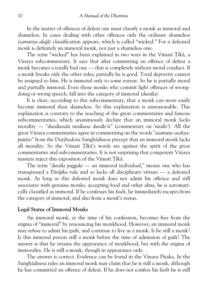In the matter of offences of defeat one must classify a monk as immoral and shameless. In cases dealing with other offences only the ordinary shameless *(samanya alajjø)* classification appears, which is called "wicked." For a defeated monk is definitely an immoral monk, not just a shameless one.

The term "wicked" has been explained in two ways in the Vimati Tikā, a Vinaya subcommentary. It says that after committing an offence of defeat a monk becomes a totally bad one — that is completely without moral conduct. If a monk breaks only the other rules, partially he is good. Total depravity cannot be assigned to him. He is immoral only to some extent. So he is partially moral and partially immoral. Even those monks who commit light offences of wrong doing or wrong speech, fall into the category of immoral*(dussøla).*

It is clear, according to this subcommentary, that a monk can more easily become immoral than shameless. So this explanation is unreasonable. This explanation is contrary to the teaching of the great commentaries and famous subcommentaries, which unanimously declare that an immoral monk lacks morality — "duss*ilassāti nissīlassa dussīlo'ti*" (commentary on 'niss*īlo'*). All the great Vinaya commentaries agree in commenting on the words "asamano asakya*puttiyo*" from the Dutthadosa Sanghādisesa precept that an immoral monk lacks all morality. So the Vimati Tikā's words are against the spirit of the great commentaries and subcommentaries. It is not surprising that competent Vinaya masters reject this exposition of the Vimati Tīkā.

The term*"dussøla puggala* — an immoral individual," means one who has transgressed a*Pæræjika* rule and so lacks all disciplinary virtues — a defeated monk. As long as this defeated monk does not admit his offence and still associates with genuine monks, accepting food and other alms, he is automati cally classified as immoral. If he confesses his fault, he immediately escapes from the category of immoral, and also from a monk's status.

#### **Legal Status of Immoral Monks**

An immoral monk, at the time of his confession, becomes free from the stigma of "immoral" by renouncing his monkhood. However, an immoral monk may refuse to admit his guilt, and continue to live as a monk. Is he still a monk? Is this immoral person still a monk before the time of admission of guilt? The answer is that he retains the appearance of monkhood, but with the stigma of immorality. He is still a monk, though in appearance only.

The answer is correct. Evidence can be found in the Vinaya Pitaka. In the Sanghādisesa rules an immoral monk may claim that he is still a monk, although he has committed an offence of defeat. If he does not confess his fault he is still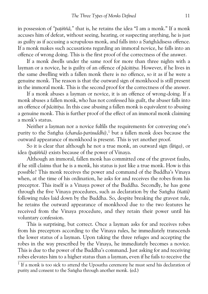in possession of "*patiññā*," that is, he retains the idea "I am a monk." If a monk accuses him of defeat, without seeing, hearing, or suspecting anything, he is just as guilty as if accusing a scrupulous monk, and falls into a Sanghādisesa offence. If a monk makes such accusations regarding an immoral novice, he falls into an offence of wrong doing. This is the first proof of the correctness of the answer.

If a monk dwells under the same roof for more than three nights with a layman or a novice, he is guilty of an offence of*pæcittiya.* However, if he lives in the same dwelling with a fallen monk there is no offence, so it as if he were a genuine monk. The reason is that the outward sign of monkhood is still present in the immoral monk. This is the second proof for the correctness of the answer.

If a monk abuses a layman or novice, it is an offence of wrong-doing. If a monk abuses a fallen monk, who has not confessed his guilt, the abuser falls into an offence of*pæcittiya.* In this case abusing a fallen monk is equivalent to abusing a genuine monk. This is further proof of the effect of an immoral monk claiming a monk's status.

Neither a layman nor a novice fulfils the requirements for conveying one's purity to the Sangha (chanda-parisuddhi),<sup>1</sup> but a fallen monk does because the outward appearance of monkhood is present. This is yet another proof.

So it is clear that although he not a true monk, an outward sign *(linga)*, or idea*(pa¥iññæ)* exists because of the power of Vinaya.

Although an immoral, fallen monk has committed one of the gravest faults, if he still claims that he is a monk, his status is just like a true monk. How is this possible? This monk receives the power and command of the Buddha's Vinaya when, at the time of his ordination, he asks for and receives the robes from his preceptor. This itself is a Vinaya power of the Buddha. Secondly, he has gone through the five Vinaya procedures, such as declaration by the Sangha *(ñatti)* following rules laid down by the Buddha. So, despite breaking the gravest rule, he retains the outward appearance of monkhood due to the two features he received from the Vinaya procedure, and they retain their power until his voluntary confession.

This is surprising, but correct. Once a layman asks for and receives robes from his preceptors according to the Vinaya rules, he immediately transcends the lower status of a layman. Upon taking the three refuges and accepting the robes in the way prescribed by the Vinaya, he immediately becomes a novice. This is due to the power of the Buddha's command. Just asking for and receiving robes elevates him to a higher status than a layman, even if he fails to receive the

 $1$  If a monk is too sick to attend the Uposatha ceremony he must send his declaration of purity and consent to the Saṅgha through another monk. (ed.)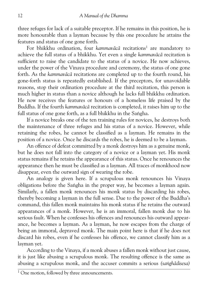three refuges for lack of a suitable preceptor. If he remains in this position, he is more honourable than a layman because by this one procedure he attains the features and status of one gone forth.

For bhikkhu ordination, four *kammavācā* recitations<sup>1</sup> are mandatory to achieve the full status of a bhikkhu. Yet even a single*kammavæcæ* recitation is sufficient to raise the candidate to the status of a novice. He now achieves, under the power of the Vinaya procedure and ceremony, the status of one gone forth. As the*kammavæcæ* recitations are completed up to the fourth round, his gone-forth status is repeatedly established. If the preceptors, for unavoidable reasons, stop their ordination procedure at the third recitation, this person is much higher in status than a novice although he lacks full bhikkhu ordination. He now receives the features or honours of a homeless life praised by the Buddha. If the fourth*kammavæcæ* recitation is completed, it raises him up to the full status of one gone forth, as a full bhikkhu in the Sangha.

If a novice breaks one of the ten training rules for novices, he destroys both the maintenance of three refuges and his status of a novice. However, while retaining the robes, he cannot be classified as a layman. He remains in the position of a novice. Once he discards the robes, he is deemed to be a layman.

An offence of defeat committed by a monk destroys him as a genuine monk, but he does not fall into the category of a novice or a layman yet. His monk status remains if he retains the appearance of this status. Once he renounces the appearance then he must be classified as a layman. All traces of monkhood now disappear, even the outward sign of wearing the robe.

An analogy is given here. If a scrupulous monk renounces his Vinaya obligations before the Saṅgha in the proper way, he becomes a layman again. Similarly, a fallen monk renounces his monk status by discarding his robes, thereby becoming a layman in the full sense. Due to the power of the Buddha's command, this fallen monk maintains his monk status if he retains the outward appearances of a monk. However, he is an immoral, fallen monk due to his serious fault. When he confesses his offences and renounces his outward appear ance, he becomes a layman. As a layman, he now escapes from the charge of being an immoral, depraved monk. The main point here is that if he does not discard his robes, even if he confesses his offence, we cannot classify him as a layman yet.

According to the Vinaya, if a monk abuses a fallen monk without just cause, it is just like abusing a scrupulous monk. The resulting offence is the same as abusing a scrupulous monk, and the accuser commits a serious *(sanghādisesa)* 

<sup>&</sup>lt;sup>1</sup> One motion, followed by three announcements.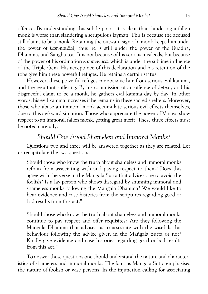offence. By understanding this subtle point, it is clear that slandering a fallen monk is worse than slandering a scrupulous layman. This is because the accused still claims to be a monk. Retaining the outward sign of a monk keeps him under the power of*kammavæcæ;* thus he is still under the power of the Buddha, Dhamma, and Sangha too. It is not because of his serious misdeeds, but because of the power of his ordination*kammavæcæ,* which is under the sublime influence of the Triple Gem. His acceptance of this declaration and his retention of the robe give him these powerful refuges. He retains a certain status.

However, these powerful refuges cannot save him from serious evil kamma, and the resultant suffering. By his commission of an offence of defeat, and his disgraceful claim to be a monk, he gathers evil kamma day by day. In other words, his evil kamma increases if he remains in these sacred shelters. Moreover, those who abuse an immoral monk accumulate serious evil effects themselves, due to this awkward situation. Those who appreciate the power of Vinaya show respect to an immoral, fallen monk, getting great merit. These three effects must be noted carefully.

## *Should One Avoid Shameless and Immoral Monks?*

Questions two and three will be answered together as they are related. Let us recapitulate the two questions:

"Should those who know the truth about shameless and immoral monks refrain from associating with and paying respect to them? Does this agree with the verse in the Mangala Sutta that advises one to avoid the foolish? Is a lay person who shows disregard by shunning immoral and shameless monks following the Mangala Dhamma? We would like to hear evidence and case histories from the scriptures regarding good or bad results from this act."

"Should those who know the truth about shameless and immoral monks continue to pay respect and offer requisites? Are they following the Mangala Dhamma that advises us to associate with the wise? Is this behaviour following the advice given in the Mangala Sutta or not? Kindly give evidence and case histories regarding good or bad results from this act."

To answer these questions one should understand the nature and character istics of shameless and immoral monks. The famous Mangala Sutta emphasises the nature of foolish or wise persons. In the injunction calling for associating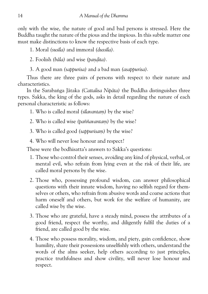only with the wise, the nature of good and bad persons is stressed. Here the Buddha taught the nature of the pious and the impious. In this subtle matter one must make distinctions to know the respective basis of each type.

1. Moral*(susøla)* and immoral*(dussøla).*

2. Foolish (bāla) and wise (pandita).

3. A good man*(sappurisa)* and a bad man*(asappurisa).*

Thus there are three pairs of persons with respect to their nature and characteristics.

In the Sarabanga Jātaka (Cattalisa Nipāta) the Buddha distinguishes three types. Sakka, the king of the gods, asks in detail regarding the nature of each personal characteristic as follows:

1. Who is called moral *(silavantam)* by the wise?

2. Who is called wise (paññavantam) by the wise?

3. Who is called good *(sappurisam)* by the wise?

4. Who will never lose honour and respect?

These were the bodhisatta's answers to Sakka's questions:

- 1. Those who control their senses, avoiding any kind of physical, verbal, or mental evil, who refrain from lying even at the risk of their life, are called moral persons by the wise.
- 2. Those who, possessing profound wisdom, can answer philosophical questions with their innate wisdom, having no selfish regard for them selves or others, who refrain from abusive words and coarse actions that harm oneself and others, but work for the welfare of humanity, are called wise by the wise.
- 3. Those who are grateful, have a steady mind, possess the attributes of a good friend, respect the worthy, and diligently fulfil the duties of a friend, are called good by the wise.
- 4. Those who possess morality, wisdom, and piety, gain confidence, show humility, share their possessions unselfishly with others, understand the words of the alms seeker, help others according to just principles, practice truthfulness and show civility, will never lose honour and respect.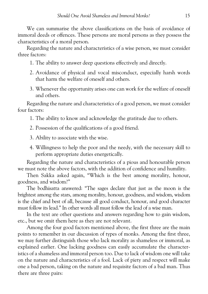We can summarise the above classifications on the basis of avoidance of immoral deeds or offences. These persons are moral persons as they possess the characteristics of a moral person.

Regarding the nature and characteristics of a wise person, we must consider three factors:

- 1. The ability to answer deep questions effectively and directly.
- 2. Avoidance of physical and vocal misconduct, especially harsh words that harm the welfare of oneself and others.
- 3. Whenever the opportunity arises one can work for the welfare of oneself and others.

Regarding the nature and characteristics of a good person, we must consider four factors:

1. The ability to know and acknowledge the gratitude due to others.

- 2. Possession of the qualifications of a good friend.
- 3. Ability to associate with the wise.
- 4. Willingness to help the poor and the needy, with the necessary skill to perform appropriate duties energetically.

Regarding the nature and characteristics of a pious and honourable person we must note the above factors, with the addition of confidence and humility.

Then Sakka asked again, "Which is the best among morality, honour, goodness, and wisdom?"

The bodhisatta answered: "The sages declare that just as the moon is the brightest among the stars, among morality, honour, goodness, and wisdom, wisdom is the chief and best of all, because all good conduct, honour, and good character must follow its lead." In other words all must follow the lead of a wise man.

In the text are other questions and answers regarding how to gain wisdom, etc., but we omit them here as they are not relevant.

Among the four good factors mentioned above, the first three are the main points to remember in our discussion of types of monks. Among the first three, we may further distinguish those who lack morality as shameless or immoral, as explained earlier. One lacking goodness can easily accumulate the character istics of a shameless and immoral person too. Due to lack of wisdom one will take on the nature and characteristics of a fool. Lack of piety and respect will make one a bad person, taking on the nature and requisite factors of a bad man. Thus there are three pairs: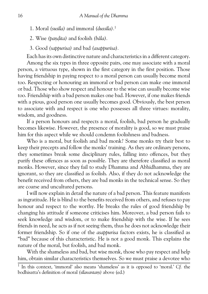- 1. Moral*(susøla)* and immoral*(dussøla).*1
- 2. Wise (pandita) and foolish (bāla).
- 3. Good*(sappurisa)* and bad *(asappurisa).*

Each has its own distinctive nature and characteristics in a different category.

Among the six types in three opposite pairs, one may associate with a moral person, a virtuous type, shown in the first category in the first position. Those having friendship in paying respect to a moral person can usually become moral too. Respecting or honouring an immoral or bad person can make one immoral or bad. Those who show respect and honour to the wise can usually become wise too. Friendship with a bad person makes one bad. However, if one makes friends with a pious, good person one usually becomes good. Obviously, the best person to associate with and respect is one who possesses all three virtues: morality, wisdom, and goodness.

If a person honours and respects a moral, foolish, bad person he gradually becomes likewise. However, the presence of morality is good, so we must praise him for this aspect while we should condemn foolishness and badness.

Who is a moral, but foolish and bad monk? Some monks try their best to keep their precepts and follow the monks' training. As they are ordinary persons, they sometimes break some disciplinary rules, falling into offences, but they purify these offences as soon as possible. They are therefore classified as moral monks. However, since they fail to study Dhamma and Abhidhamma, they are ignorant, so they are classified as foolish. Also, if they do not acknowledge the benefit received from others, they are bad monks in the technical sense. So they are coarse and uncultured persons.

I will now explain in detail the nature of a bad person. This feature manifests as ingratitude. He is blind to the benefits received from others, and refuses to pay honour and respect to the worthy. He breaks the rules of good friendship by changing his attitude if someone criticises him. Moreover, a bad person fails to seek knowledge and wisdom, or to make friendship with the wise. If he sees friends in need, he acts as if not seeing them, thus he does not acknowledge their former friendship. So if one of the*asappurisa* factors exists, he is classified as "bad" because of this characteristic. He is not a good monk. This explains the nature of the moral, but foolish, and bad monk.

With the shameless and bad, but wise monk, those who pay respect and help him, obtain similar characteristics themselves. So we must praise a devotee who

<sup>1</sup> In this context, 'immoral' also means 'shameless' as it is opposed to 'moral.'*Cf.* the bodhisatta's definition of moral *(silavantam)* above *(ed.)*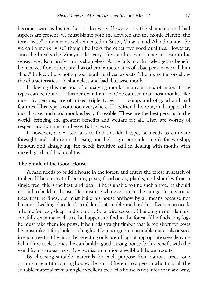becomes wise as his teacher is also wise. However, as the shameless and bad aspects are present, we must blame both the devotee and the monk. Herein, the term "wise" only means well-educated in Sutta, Vinaya, and Abhidhamma. So we call a monk "wise" though he lacks the other two good qualities. However, since he breaks the Vinaya rules very often and does not care to restrain his senses, we also classify him as shameless. As he fails to acknowledge the benefit he receives from others and has other characteristics of a bad person, we call him "bad." Indeed, he is not a good monk in these aspects. The above factors show the characteristics of a shameless and bad, but wise monk.

Following this method of classifying monks, many monks of mixed triple types can be found for further examination. One can see that most monks, like most lay persons, are of mixed triple types — a compound of good and bad features. This type is common everywhere. To befriend, honour, and support the moral, wise, and good monk is best, if possible. These are the best persons in the world, bringing the greatest benefits and welfare for all. They are worthy of respect and honour in all essential aspects.

If however, a devotee fails to find this ideal type, he needs to cultivate foresight and culture in choosing and helping a particular monk for worship, honour, and almsgiving. He needs intuitive skill in dealing with monks with mixed good and bad qualities.

#### **The Simile of the Good House**

A man needs to build a house in the forest, and enters the forest in search of timber. If he can get all beams, posts, floorboards, planks, and shingles from a single tree, this is the best, and ideal. If he is unable to find such a tree, he should not fail to build his house. He must use whatever timber he can get from various trees that he finds. He must build his house anyhow by all means because not having a dwelling place leads to all kinds of trouble and hardship. Every man needs a home for rest, sleep, and comfort. So a wise seeker of building materials must carefully examine each tree he happens to find in the forest. If he finds long logs he must take them for posts. If he finds straight timber that is too short for posts he must take it for planks or shingles. He must ignore unsuitable materials or sizes in each tree that he finds. By selecting only useful logs of appropriate sizes, leaving behind the useless ones, he can build a good, strong house for his benefit with the wood from various trees. By wise discrimination a well-built house results.

By choosing suitable materials for each purpose from various trees, one obtains a beautiful, strong house. He is no different to a person who finds all the suitable material from a single excellent tree. His house is not inferior in any way,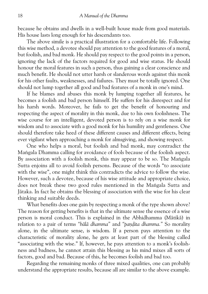because he obtains and dwells in a well-built house made from good materials. His house lasts long enough for his descendants too.

The above simile is a practical illustration for a comfortable life. Following this wise method, a devotee should pay attention to the good features of a moral, but foolish, and bad monk. He should pay respect to the good points in a person, ignoring the lack of the factors required for good and wise status. He should honour the moral features in such a person, thus gaining a clear conscience and much benefit. He should not utter harsh or slanderous words against this monk for his other faults, weaknesses, and failures. They must be totally ignored. One should not lump together all good and bad features of a monk in one's mind.

If he blames and abuses this monk by lumping together all features, he becomes a foolish and bad person himself. He suffers for his disrespect and for his harsh words. Moreover, he fails to get the benefit of honouring and respecting the aspect of morality in this monk, due to his own foolishness. The wise course for an intelligent, devoted person is to rely on a wise monk for wisdom and to associate with a good monk for his humility and gentleness. One should therefore take heed of these different causes and different effects, being ever vigilant when approaching a monk for almsgiving, and showing respect.

One who helps a moral, but foolish and bad monk, may contradict the Mangala Dhamma calling for avoidance of fools because of the foolish aspect. By association with a foolish monk, this may appear to be so. The Mangala Sutta enjoins all to avoid foolish persons. Because of the words "to associate with the wise", one might think this contradicts the advice to follow the wise. However, such a devotee, because of his wise attitude and appropriate choice, does not break these two good rules mentioned in the Mangala Sutta and Jātaka. In fact he obtains the blessing of association with the wise for his clear thinking and suitable deeds.

What benefits does one gain by respecting a monk of the type shown above? The reason for getting benefits is that in the ultimate sense the essence of a wise person is moral conduct. This is explained in the Abhidhamma (Mātikā) in relation to a pair of terms "bālā dhamma" and "pandita dhamma." So morality alone, in the ultimate sense, is wisdom. If a person pays attention to the characteristic of morality alone, he gets at least part of the blessing called "associating with the wise." If, however, he pays attention to a monk's foolish ness and badness, he cannot attain this blessing as his mind mixes all sorts of factors, good and bad. Because of this, he becomes foolish and bad too.

Regarding the remaining monks of three mixed qualities, one can probably understand the appropriate results, because all are similar to the above example.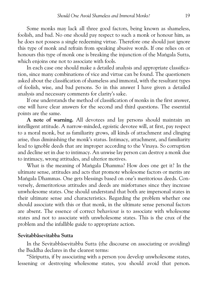Some monks may lack all three good factors, being known as shameless, foolish, and bad. No one should pay respect to such a monk or honour him, as he does not possess a single redeeming virtue. Therefore one should just ignore this type of monk and refrain from speaking abusive words. If one relies on or honours this type of monk one is breaking the injunction of the Mangala Sutta, which enjoins one not to associate with fools.

In each case one should make a detailed analysis and appropriate classifica tion, since many combinations of vice and virtue can be found. The questioners asked about the classification of shameless and immoral, with the resultant types of foolish, wise, and bad persons. So in this answer I have given a detailed analysis and necessary comments for clarity's sake.

If one understands the method of classification of monks in the first answer, one will have clear answers for the second and third questions. The essential points are the same.

**A note of warning.** All devotees and lay persons should maintain an intelligent attitude. A narrow-minded, egoistic devotee will, at first, pay respect to a moral monk, but as familiarity grows, all kinds of attachment and clinging arise, thus diminishing the monk's status. Intimacy, attachment, and familiarity lead to ignoble deeds that are improper according to the Vinaya. So corruption and decline set in due to intimacy. An unwise lay person can destroy a monk due to intimacy, wrong attitudes, and ulterior motives.

What is the meaning of Mangala Dhamma? How does one get it? In the ultimate sense, attitudes and acts that promote wholesome factors or merits are Mangala Dhammas. One gets blessings based on one's meritorious deeds. Conversely, demeritorious attitudes and deeds are misfortunes since they increase unwholesome states. One should understand that both are impersonal states in their ultimate sense and characteristics. Regarding the problem whether one should associate with this or that monk, in the ultimate sense personal factors are absent. The essence of correct behaviour is to associate with wholesome states and not to associate with unwholesome states. This is the crux of the problem and the infallible guide to appropriate action.

#### **Sevitabbæsevitabba Sutta**

In the Sevitabbāsevitabba Sutta (the discourse on associating or avoiding) the Buddha declares in the clearest terms:

"Særiputta, if by associating with a person you develop unwholesome states, lessening or destroying wholesome states, you should avoid that person.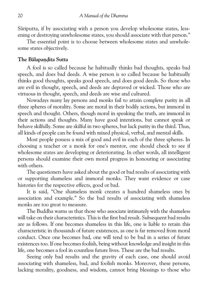Sāriputta, if by associating with a person you develop wholesome states, lessening or destroying unwholesome states, you should associate with that person."

The essential point is to choose between wholesome states and unwhole some states objectively.

#### **The Balapandita Sutta**

A fool is so called because he habitually thinks bad thoughts, speaks bad speech, and does bad deeds. A wise person is so called because he habitually thinks good thoughts, speaks good speech, and does good deeds. So those who are evil in thought, speech, and deeds are depraved or wicked. Those who are virtuous in thought, speech, and deeds are wise and cultured.

Nowadays many lay persons and monks fail to attain complete purity in all three spheres of morality. Some are moral in their bodily actions, but immoral in speech and thought. Others, though moral in speaking the truth, are immoral in their actions and thoughts. Many have good intentions, but cannot speak or behave skilfully. Some are skilful in two spheres, but lack purity in the third. Thus, all kinds of people can be found with mixed physical, verbal, and mental skills.

Most people possess a mix of good and evil in each of the three spheres. In choosing a teacher or a monk for one's mentor, one should check to see if wholesome states are developing or deteriorating. In other words, all intelligent persons should examine their own moral progress in honouring or associating with others.

The questioners have asked about the good or bad results of associating with or supporting shameless and immoral monks. They want evidence or case histories for the respective effects, good or bad.

It is said, "One shameless monk creates a hundred shameless ones by association and example." So the bad results of associating with shameless monks are too great to measure.

The Buddha warns us that those who associate intimately with the shameless will take on their characteristics. This is the first bad result. Subsequent bad results are as follows. If one becomes shameless in this life, one is liable to retain this characteristic in thousands of future existences, as one is far removed from moral conduct. Once one becomes bad, one will tend to be bad in a series of future existences too. If one becomes foolish, being without knowledge and insight in this life, one becomes a fool in countless future lives. These are the bad results.

Seeing only bad results and the gravity of each case, one should avoid associating with shameless, bad, and foolish monks. Moreover, these persons, lacking morality, goodness, and wisdom, cannot bring blessings to those who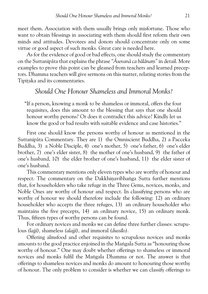meet them. Association with them usually brings only misfortune. Those who want to obtain blessings in associating with them should first reform their own minds and attitudes. Devotees and donors should concentrate only on some virtue or good aspect of such monks. Great care is needed here.

As for the evidence of good or bad effects, one should study the commentary on the Suttanipæta that explains the phrase*"Æsevanæ ca bælænaµ"* in detail. More examples to prove this point can be gleaned from teachers and learned precep tors. Dhamma teachers will give sermons on this matter, relating stories from the Tipitaka and its commentaries.

## *Should One Honour Shameless and Immoral Monks?*

"If a person, knowing a monk to be shameless or immoral, offers the four requisites, does this amount to the blessing that says that one should honour worthy persons? Or does it contradict this advice? Kindly let us know the good or bad results with suitable evidence and case histories."

First one should know the persons worthy of honour as mentioned in the Suttanipāta Commentary. They are 1) the Omniscient Buddha, 2) a Pacceka Buddha, 3) a Noble Disciple, 4) one's mother, 5) one's father, 6) one's elder brother, 7) one's elder sister, 8) the mother of one's husband, 9) the father of one's husband, 10) the elder brother of one's husband, 11) the elder sister of one's husband.

This commentary mentions only eleven types who are worthy of honour and respect. The commentary on the Dakkhinavibhanga Sutta further mentions that, for householders who take refuge in the Three Gems, novices, monks, and Noble Ones are worthy of honour and respect. In classifying persons who are worthy of honour we should therefore include the following: 12) an ordinary householder who accepts the three refuges, 13) an ordinary householder who maintains the five precepts, 14) an ordinary novice, 15) an ordinary monk. Thus, fifteen types of worthy persons can be found.

For ordinary novices and monks we can define three further classes: scrupu lous (lajjī), shameless (alajjī), and immoral (dussīlo).

Offering almsfood and other requisites to scrupulous novices and monks amounts to the good practice enjoined in the Mangala Sutta as "honouring those worthy of honour." One may doubt whether offerings to shameless or immoral novices and monks fulfil the Mangala Dhamma or not. The answer is that offerings to shameless novices and monks do amount to honouring those worthy of honour. The only problem to consider is whether we can classify offerings to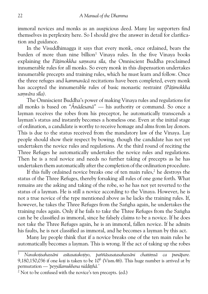immoral novices and monks as an auspicious deed. Many lay supporters find themselves in perplexity here. So I should give the answer in detail for clarifica tion and guidance.

In the Visuddhimagga it says that every monk, once ordained, bears the burden of more than nine billion<sup>1</sup> Vinaya rules. In the five Vinaya books explaining the Pātimokkha samvara sīla, the Omniscient Buddha proclaimed innumerable rules for all monks. So every monk in this dispensation undertakes innumerable precepts and training rules, which he must learn and follow. Once the three refuges and*kammavæcæ* recitations have been completed, every monk has accepted the innumerable rules of basic monastic restraint (Pātimokkha *saµværa søla).*

The Omniscient Buddha's power of making Vinaya rules and regulations for all monks is based on*"Ænædesanæ"* — his authority or command. So once a layman receives the robes from his preceptor, he automatically transcends a layman's status and instantly becomes a homeless one. Even at the initial stage of ordination, a candidate is worthy to receive homage and alms from lay donors. This is due to the status received from the mandatory law of the Vinaya. Lay people should show their respect by bowing, though the candidate has not yet undertaken the novice rules and regulations. At the third round of reciting the Three Refuges he automatically undertakes the novice rules and regulations. Then he is a real novice and needs no further taking of precepts as he has undertaken them automatically after the completion of the ordination procedure.

If this fully ordained novice breaks one of ten main rules, $<sup>2</sup>$  he destroys the</sup> status of the Three Refuges, thereby forsaking all rules of one gone forth. What remains are the asking and taking of the robe, so he has not yet reverted to the status of a layman. He is still a novice according to the Vinaya. However, he is not a true novice of the type mentioned above as he lacks the training rules. If, however, he takes the Three Refuges from the Sangha again, he undertakes the training rules again. Only if he fails to take the Three Refuges from the Sangha can he be classified as immoral, since he falsely claims to be a novice. If he does not take the Three Refuges again, he is an immoral, fallen novice. If he admits his faults, he is not classified as immoral, and he becomes a layman by this act.

Many lay people think that if a novice breaks one of the ten main rules he automatically becomes a layman. This is wrong. If the act of taking up the robes

<sup>&</sup>lt;sup>1</sup> *Navakotisahassāni asītasatakoti*yo, paññāsasatasahassāni chattimsā ca punāpare. 9,180,150,036 if one *koti* is taken to be 10<sup>6</sup> (Vism, 46). This huge number is arrived at by permutation — 'peyyālamukhena nidditthā.'

 $2$  Not to be confused with the novice's ten precepts. (ed.)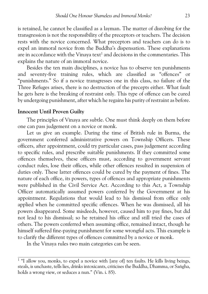is retained, he cannot be classified as a layman. The matter of disrobing for the transgression is not the responsibility of the preceptors or teachers. The decision rests with the novice concerned. What preceptors and teachers can do is to expel an immoral novice from the Buddha's dispensation. These explanations are in accordance with the Vinaya text<sup>1</sup> and decisions in the commentaries. This explains the nature of an immoral novice.

Besides the ten main disciplines, a novice has to observe ten punishments and seventy-five training rules, which are classified as "offences" or "punishments." So if a novice transgresses one in this class, no failure of the Three Refuges arises, there is no destruction of the precepts either. What fault he gets here is the breaking of restraint only. This type of offence can be cured by undergoing punishment, after which he regains his purity of restraint as before.

#### **Innocent Until Proven Guilty**

The principles of Vinaya are subtle. One must think deeply on them before one can pass judgement on a novice or monk.

Let us give an example. During the time of British rule in Burma, the government conferred administrative powers on Township Officers. These officers, after appointment, could try particular cases, pass judgement according to specific rules, and prescribe suitable punishments. If they committed some offences themselves, these officers must, according to government servant conduct rules, lose their offices, while other offences resulted in suspension of duties only. These latter offences could be cured by the payment of fines. The nature of each office, its powers, types of offences and appropriate punishments were published in the Civil Service Act. According to this Act, a Township Officer automatically assumed powers conferred by the Government at his appointment. Regulations that would lead to his dismissal from office only applied when he committed specific offences. When he was dismissed, all his powers disappeared. Some misdeeds, however, caused him to pay fines, but did not lead to his dismissal; so he retained his office and still tried the cases of others. The powers conferred when assuming office, remained intact, though he himself suffered fine-paying punishment for some wrongful acts. This example is to clarify the different types of offences committed by a novice or monk.

In the Vinaya rules two main categories can be seen.

 $1$  "I allow you, monks, to expel a novice with [any of] ten faults. He kills living beings, steals, is unchaste, tells lies, drinks intoxicants, criticises the Buddha, Dhamma, or Saṅgha, holds a wrong view, or seduces a nun." (Vin. i. 85).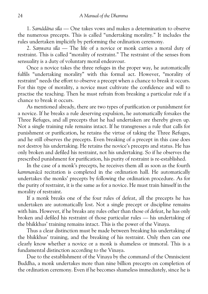1.*Samædæna søla* — One takes vows and makes a determination to observe the numerous precepts. This is called "undertaking morality." It includes the rules undertaken implicitly by performing the ordination ceremony.

2. Samvara sila — The life of a novice or monk carries a moral duty of restraint. This is called "morality of restraint." The restraint of the senses from sensuality is a duty of voluntary moral endeavour.

Once a novice takes the three refuges in the proper way, he automatically fulfils "undertaking morality" with this formal act. However, "morality of restraint" needs the effort to observe a precept when a chance to break it occurs. For this type of morality, a novice must cultivate the confidence and will to practise the teaching. Then he must refrain from breaking a particular rule if a chance to break it occurs.

As mentioned already, there are two types of purification or punishment for a novice. If he breaks a rule deserving expulsion, he automatically forsakes the Three Refuges, and all precepts that he had undertaken are thereby given up. Not a single training rule remains intact. If he transgresses a rule that calls for punishment or purification, he retains the virtue of taking the Three Refuges, and he still observes the precepts. Even breaking of a precept in this case does not destroy his undertaking. He retains the novice's precepts and status. He has only broken and defiled his restraint, not his undertaking. So if he observes the prescribed punishment for purification, his purity of restraint is re-established.

In the case of a monk's precepts, he receives them all as soon as the fourth *kammavæcæ* recitation is completed in the ordination hall. He automatically undertakes the monks' precepts by following the ordination procedure. As for the purity of restraint, it is the same as for a novice. He must train himself in the morality of restraint.

If a monk breaks one of the four rules of defeat, all the precepts he has undertaken are automatically lost. Not a single precept or discipline remains with him. However, if he breaks any rules other than those of defeat, he has only broken and defiled his restraint of those particular rules — his undertaking of the bhikkhus' training remains intact. This is the power of the Vinaya.

Thus a clear distinction must be made between breaking his undertaking of the bhikkhus' training, and the breaking of his restraint. Only then can one clearly know whether a novice or a monk is shameless or immoral. This is a fundamental distinction according to the Vinaya.

Due to the establishment of the Vinaya by the command of the Omniscient Buddha, a monk undertakes more than nine billion precepts on completion of the ordination ceremony. Even if he becomes shameless immediately, since he is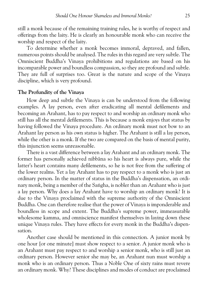still a monk because of the remaining training rules, he is worthy of respect and offerings from the laity. He is clearly an honourable monk who can receive the worship and respect of the laity.

To determine whether a monk becomes immoral, depraved, and fallen, numerous points should be analysed. The rules in this regard are very subtle. The Omniscient Buddha's Vinaya prohibitions and regulations are based on his incomparable power and boundless compassion, so they are profound and subtle. They are full of surprises too. Great is the nature and scope of the Vinaya discipline, which is very profound.

#### **The Profundity of the Vinaya**

How deep and subtle the Vinaya is can be understood from the following examples. A lay person, even after eradicating all mental defilements and becoming an Arahant, has to pay respect to and worship an ordinary monk who still has all the mental defilements. This is because a monk enjoys that status by having followed the Vinaya procedure. An ordinary monk must not bow to an Arahant lay person as his own status is higher. The Arahant is still a lay person, while the other is a monk. If the two are compared on the basis of mental purity, this injunction seems unreasonable.

There is a vast difference between a lay Arahant and an ordinary monk. The former has personally achieved nibbæna so his heart is always pure, while the latter's heart contains many defilements, so he is not free from the suffering of the lower realms. Yet a lay Arahant has to pay respect to a monk who is just an ordinary person. In the matter of status in the Buddha's dispensation, an ordi nary monk, being a member of the Saṅgha, is nobler than an Arahant who is just a lay person. Why does a lay Arahant have to worship an ordinary monk? It is due to the Vinaya proclaimed with the supreme authority of the Omniscient Buddha. One can therefore realise that the power of Vinaya is imponderable and boundless in scope and extent. The Buddha's supreme power, immeasurable wholesome kamma, and omniscience manifest themselves in laying down these unique Vinaya rules. They have effects for every monk in the Buddha's dispen sation.

Another case should be mentioned in this connection. A junior monk by one hour [or one minute] must show respect to a senior. A junior monk who is an Arahant must pay respect to and worship a senior monk, who is still just an ordinary person. However senior she may be, an Arahant nun must worship a monk who is an ordinary person. Thus a Noble One of sixty rains must revere an ordinary monk. Why? These disciplines and modes of conduct are proclaimed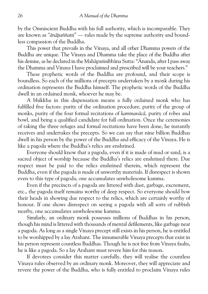by the Omniscient Buddha with his full authority, which is incomparable. They are known as*"ænæpaññatti"* — rules made by the supreme authority and bound less compassion of the Buddha.

This power that prevails in the Vinaya, and all other Dhamma powers of the Buddha are unique. The Vinaya and Dhamma take the place of the Buddha after his demise, as he declared in the Mahāparinibbāna Sutta: "Ānanda, after I pass away the Dhamma and Vinaya I have proclaimed and prescribed will be your teachers."

These prophetic words of the Buddha are profound, and their scope is boundless. So each of the millions of precepts undertaken by a monk during his ordination represents the Buddha himself. The prophetic words of the Buddha dwell in an ordained monk, whoever he may be.

A bhikkhu in this dispensation means a fully ordained monk who has fulfilled five factors: purity of the ordination procedure, purity of the group of monks, purity of the four formal recitations of*kammavæcæ,* purity of robes and bowl, and being a qualified candidate for full ordination. Once the ceremonies of taking the three refuges and formal recitations have been done, he instantly receives and undertakes the precepts. So we can say that nine billion Buddhas dwell in his person by the power of the Buddha and efficacy of the Vinaya. He is like a pagoda where the Buddha's relics are enshrined.

Everyone should know that a pagoda, even if it is made of mud or sand, is a sacred object of worship because the Buddha's relics are enshrined there. Due respect must be paid to the relics enshrined therein, which represent the Buddha, even if the pagoda is made of unworthy materials. If disrespect is shown even to this type of pagoda, one accumulates unwholesome kamma.

Even if the precincts of a pagoda are littered with dust, garbage, excrement, etc., the pagoda itself remains worthy of deep respect. So everyone should bow their heads in showing due respect to the relics, which are certainly worthy of honour. If one shows disrespect on seeing a pagoda with all sorts of rubbish nearby, one accumulates unwholesome kamma.

Similarly, an ordinary monk possesses millions of Buddhas in his person, though his mind is littered with thousands of mental defilements, like garbage near a pagoda. As long as a single Vinaya precept still exists in his person, he is entitled to be worshipped by a lay Arahant. The innumerable Vinaya precepts that exist in his person represent countless Buddhas. Though he is not free from Vinaya faults, he is like a pagoda. So a lay Arahant must revere him for this reason.

If devotees consider this matter carefully, they will realise the countless Vinaya rules observed by an ordinary monk. Moreover, they will appreciate and revere the power of the Buddha, who is fully entitled to proclaim Vinaya rules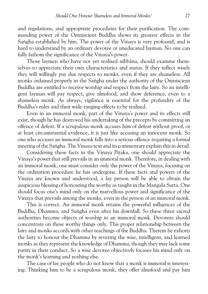and regulations, and appropriate procedures for their purification. The com manding power of the Omniscient Buddha shows its greatest effects in the Sangha established by him. The power of the Vinaya is very profound, and is hard to understand by an ordinary devotee or uneducated layman. No one can fully fathom the significance of the Vinaya's power.

Those laymen who have not yet realised nibbāna, should examine themselves to appreciate their own characteristics and status. If they reflect wisely they will willingly pay due respects to monks, even if they are shameless. All monks ordained properly in the Sangha under the authority of the Omniscient Buddha are entitled to receive worship and respect from the laity. So an intelli gent layman will pay respect, give almsfood, and show deference, even to a shameless monk. As always, vigilance is essential for the profundity of the Buddha's rules and their wide-ranging effects to be realised.

Even in an immoral monk, part of the Vinaya's power and its effects still exist, though he has destroyed his undertaking of the precepts by committing an offence of defeat. If a scrupulous monk accuses him of defeat without proof, or at least circumstantial evidence, it is just like accusing an innocent monk. So one who accuses an immoral monk falls into a serious offence requiring a formal meeting of the Sangha. The Vinaya text and its commentary explain this in detail.

Considering these facts in the Vinaya Pitaka, one should appreciate the Vinaya's power that still prevails in an immoral monk. Therefore, in dealing with an immoral monk, one must consider only the power of the Vinaya, focusing on the ordination procedure he has undergone. If these facts and powers of the Vinaya are known and understood, a lay person will be able to obtain the auspicious blessing of honouring the worthy as taught in the Mangala Sutta. One should focus one's mind only on the marvellous power and significance of the Vinaya that prevails among the monks, even in the person of an immoral monk.

This is correct. An immoral monk retains the powerful influences of the Buddha, Dhamma, and Sangha even after his downfall. So these three sacred authorities become objects of worship in an immoral monk. Devotees should concentrate on these worthy things only. This proper relationship between the laity and monks accords with other teachings of the Buddha. Therein he exhorts the laity to honour the Dhamma by revering the wise, intelligent, and learned monks as they represent the knowledge of Dhamma, though they may lack some purity in their conduct. So a wise devotee objectively focuses his mind only on the monk's learning and nothing else.

The case of lay people who do not know that a monk is immoral is interest ing. Thinking him to be a scrupulous monk, they offer almsfood and pay him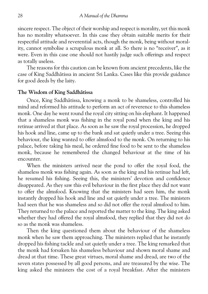sincere respect. The object of their worship and respect is morality, yet this monk has no morality whatsoever. In this case they obtain suitable merits for their respectful attitude and reverential acts, though the monk, being without moral ity, cannot symbolise a scrupulous monk at all. So there is no "receiver", as it were. Even in this case one should not hastily judge such offerings and respect as totally useless.

The reasons for this caution can be known from ancient precedents, like the case of King Saddhætissa in ancient Sri Lanka. Cases like this provide guidance for good deeds by the laity.

#### **The Wisdom of King Saddhætissa**

Once, King Saddhætissa, knowing a monk to be shameless, controlled his mind and reformed his attitude to perform an act of reverence to this shameless monk. One day he went round the royal city sitting on his elephant. It happened that a shameless monk was fishing in the royal pond when the king and his retinue arrived at that place. As soon as he saw the royal procession, he dropped his hook and line, came up to the bank and sat quietly under a tree. Seeing this behaviour, the king wanted to offer almsfood to the monk. On returning to his palace, before taking his meal, he ordered fine food to be sent to the shameless monk, because he remembered the changed behaviour at the time of his encounter.

When the ministers arrived near the pond to offer the royal food, the shameless monk was fishing again. As soon as the king and his retinue had left, he resumed his fishing. Seeing this, the ministers' devotion and confidence disappeared. As they saw this evil behaviour in the first place they did not want to offer the almsfood. Knowing that the ministers had seen him, the monk instantly dropped his hook and line and sat quietly under a tree. The ministers had seen that he was shameless and so did not offer the royal almsfood to him. They returned to the palace and reported the matter to the king. The king asked whether they had offered the royal almsfood, they replied that they did not do so as the monk was shameless.

Then the king questioned them about the behaviour of the shameless monk when he saw them approaching. The ministers replied that he instantly dropped his fishing tackle and sat quietly under a tree. The king remarked that the monk had forsaken his shameless behaviour and shown moral shame and dread at that time. These great virtues, moral shame and dread, are two of the seven states possessed by all good persons, and are treasured by the wise. The king asked the ministers the cost of a royal breakfast. After the ministers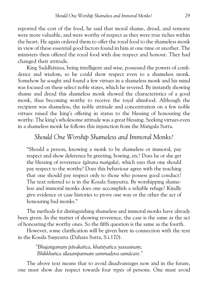reported the cost of the food, he said that moral shame, dread, and remorse were more valuable, and were worthy of respect as they were true riches within the heart. He again ordered them to offer the royal food to the shameless monk in view of these essential good factors found in him at one time or another. The ministers then offered the royal food with due respect and honour. They had changed their attitude.

King Saddhātissa, being intelligent and wise, possessed the powers of confidence and wisdom, so he could show respect even to a shameless monk. Somehow he sought and found a few virtues in a shameless monk and his mind was focused on these select noble states, which he revered. By instantly showing shame and dread this shameless monk showed the characteristics of a good monk, thus becoming worthy to receive the royal almsfood. Although the recipient was shameless, the noble attitude and concentration on a few noble virtues raised the king's offering in status to the blessing of honouring the worthy. The king's wholesome attitude was a great blessing. Seeking virtues even in a shameless monk he follows this injunction from the Mangala Sutta.

## *Should One Worship Shameless and Immoral Monks?*

"Should a person, knowing a monk to be shameless or immoral, pay respect and show deference by greeting, bowing, etc? Does he or she get the blessing of reverence *(gārava mangala)*, which says that one should pay respect to the worthy? Does this behaviour agree with the teaching that one should pay respect only to those who possess good conduct? The text referred to is in the Kosala Samvutta. By worshipping shameless and immoral monks does one accomplish a reliable refuge? Kindly give evidence or case histories to prove one way or the other the act of honouring bad monks."

The methods for distinguishing shameless and immoral monks have already been given. In the matter of showing reverence, the case is the same as the act of honouring the worthy ones. So the fifth question is the same as the fourth.

However, some clarification will be given here in connection with the text in the Kosala Samvutta (Dahara Sutta, S.i.170).

> *"Bhuja³gamaµ pævakañca, khattiyañca yassasinaµ; Bhikkhuñca sølasampannaµ sammadeva samæcare."*

The above text means that to avoid disadvantages now and in the future, one must show due respect towards four types of persons. One must avoid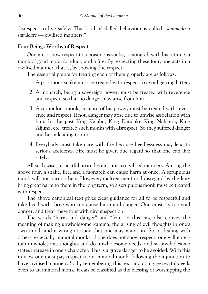disrespect to live safely. This kind of skilled behaviour is called*"sammadeva samæcare*— civilised manners."

## **Four Beings Worthy of Respect**

One must show respect to a poisonous snake, a monarch with his retinue, a monk of good moral conduct, and a fire. By respecting these four, one acts in a civilised manner, that is, by showing due respect.

The essential points for treating each of them properly are as follows:

- 1. A poisonous snake must be treated with respect to avoid getting bitten.
- 2. A monarch, being a sovereign power, must be treated with reverence and respect, so that no danger may arise from him.
- 3. A scrupulous monk, because of his power, must be treated with rever ence and respect. If not, danger may arise due to unwise association with him. In the past King Kalabu, King Dandaki, King Nālikera, King Ajjuna, etc. treated such monks with disrespect. So they suffered danger and harm leading to ruin.
- 4. Everybody must take care with fire because heedlessness may lead to serious accidents. Fire must be given due regard so that one can live safely.

All such wise, respectful attitudes amount to civilised manners. Among the above four, a snake, fire, and a monarch can cause harm at once. A scrupulous monk will not harm others. However, maltreatment and disregard by the laity bring great harm to them in the long term, so a scrupulous monk must be treated with respect.

The above canonical text gives clear guidance for all to be respectful and take heed with those who can cause harm and danger. One must try to avoid danger, and treat these four with circumspection.

The words "harm and danger" and "fear" in this case also convey the meaning of making unwholesome kamma, the arising of evil thoughts in one's own mind, and a wrong attitude that one may maintain. So in dealing with others, especially immoral monks, if one does not show respect, one will enter tain unwholesome thoughts and do unwholesome deeds, and so unwholesome states increase in one's character. This is a grave danger to be avoided. With this in view one must pay respect to an immoral monk, following the injunction to have civilised manners. So by remembering this text and doing respectful deeds even to an immoral monk, it can be classified as the blessing of worshipping the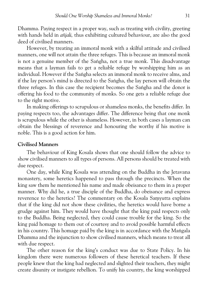Dhamma. Paying respect in a proper way, such as treating with civility, greeting with hands held in*añjali,* thus exhibiting cultured behaviour, are also the good deed of civilised manners.

However, by treating an immoral monk with a skilful attitude and civilised manners, one will not attain the three refuges. This is because an immoral monk is not a genuine member of the Sangha, not a true monk. This disadvantage means that a layman fails to get a reliable refuge by worshipping him as an individual. However if the Saṅgha selects an immoral monk to receive alms, and if the lay person's mind is directed to the Sangha, the lay person will obtain the three refuges. In this case the recipient becomes the Sangha and the donor is offering his food to the community of monks. So one gets a reliable refuge due to the right motive.

In making offerings to scrupulous or shameless monks, the benefits differ. In paying respects too, the advantages differ. The difference being that one monk is scrupulous while the other is shameless. However, in both cases a layman can obtain the blessings of reverence and honouring the worthy if his motive is noble. This is a good action for him.

### **Civilised Manners**

The behaviour of King Kosala shows that one should follow the advice to show civilised manners to all types of persons. All persons should be treated with due respect.

One day, while King Kosala was attending on the Buddha in the Jetavana monastery, some heretics happened to pass through the precincts. When the king saw them he mentioned his name and made obeisance to them in a proper manner. Why did he, a true disciple of the Buddha, do obeisance and express reverence to the heretics? The commentary on the Kosala Samyutta explains that if the king did not show these civilities, the heretics would have borne a grudge against him. They would have thought that the king paid respects only to the Buddha. Being neglected, they could cause trouble for the king. So the king paid homage to them out of courtesy and to avoid possible harmful effects in his country. This homage paid by the king is in accordance with the Mangala Dhamma and the injunction to show civilised manners, which means to treat all with due respect.

The other reason for the king's conduct was due to State Policy. In his kingdom there were numerous followers of these heretical teachers. If these people knew that the king had neglected and slighted their teachers, they might create disunity or instigate rebellion. To unify his country, the king worshipped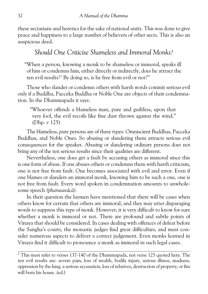these sectarians and heretics for the sake of national unity. This was done to give peace and happiness to a large number of believers of other sects. This is also an auspicious deed.

# *Should One Criticise Shameless and Immoral Monks?*

"When a person, knowing a monk to be shameless or immoral, speaks ill of him or condemns him, either directly or indirectly, does he attract the ten evil results?<sup>1</sup> By doing so, is he free from evil or not?"

Those who slander or condemn others with harsh words commit serious evil only if a Buddha, Pacceka Buddha or Noble One are objects of their condemna tion. In the Dhammapada it says:

"Whoever offends a blameless man, pure and guiltless, upon that very fool, the evil recoils like fine dust thrown against the wind." (Dhp. v 125)

The blameless, pure persons are of three types: Omniscient Buddhas, Pacceka Buddhas, and Noble Ones. So abusing or slandering them attracts serious evil consequences for the speaker. Abusing or slandering ordinary persons does not bring any of the ten serious results since their qualities are different.

Nevertheless, one does get a fault by accusing others as immoral since this is one form of abuse. If one abuses others or condemns them with harsh criticism, one is not free from fault. One becomes associated with evil and error. Even if one blames or slanders an immoral monk, knowing him to be such a one, one is not free from fault. Every word spoken in condemnation amounts to unwhole some speech (pharusavācā).

In their question the laymen have mentioned that there will be cases when others know for certain that others are immoral, and they may utter disparaging words to suppress this type of monk. However, it is very difficult to know for sure whether a monk is immoral or not. There are profound and subtle points of Vinaya that should be considered. In cases dealing with offences of defeat before the Sangha's courts, the monastic judges find great difficulties, and must consider numerous aspects to deliver a correct judgement. Even monks learned in Vinaya find it difficult to pronounce a monk as immoral in such legal cases.

 $1$  This must refer to verses 137-140 of the Dhammapada, not verse 125 quoted here. The ten evil results are: severe pain, loss of wealth, bodily injury, serious illness, madness, oppression by the king, a serious accusation, loss of relatives, destruction of property, or fire will burn his house. (ed.)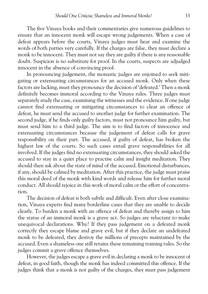The five Vinaya books and their commentaries give numerous guidelines to ensure that an innocent monk will escape wrong judgements. When a case of defeat appears before the courts, Vinaya judges must hear and examine the words of both parties very carefully. If the charges are false, they must declare a monk to be innocent. They must not say they are guilty if there is any reasonable doubt. Suspicion is no substitute for proof. In the courts, suspects are adjudged innocent in the absence of convincing proof.

In pronouncing judgement, the monastic judges are enjoined to seek miti gating or extenuating circumstances for an accused monk. Only when these factors are lacking, must they pronounce the decision of 'defeated.' Then a monk definitely becomes immoral according to the Vinaya rules. Three judges must separately study the case, examining the witnesses and the evidence. If one judge cannot find extenuating or mitigating circumstances to clear an offence of defeat, he must send the accused to another judge for further examination. The second judge, if he finds only guilty factors, must not pronounce him guilty, but must send him to a third judge. The aim is to find factors of innocence and extenuating circumstances because the judgement of defeat calls for grave responsibility on their part. The accused, if guilty of defeat, has broken the highest law of the courts. So such cases entail grave responsibilities for all involved. If the judges find no extenuating circumstances, they should asked the accused to stay in a quiet place to practise calm and insight meditation. They should then ask about the state of mind of the accused. Emotional disturbances, if any, should be calmed by meditation. After this practice, the judge must praise this moral deed of the monk with kind words and release him for further moral conduct. All should rejoice in this work of moral calm or the effort of concentra tion.

The decision of defeat is both subtle and difficult. Even after close examina tion, Vinaya experts find many borderline cases that they are unable to decide clearly. To burden a monk with an offence of defeat and thereby assign to him the status of an immoral monk is a grave act. So judges are reluctant to make unequivocal declarations. Why? If they pass judgement on a defeated monk correctly they escape blame and grave evil, but if they declare an undefeated monk to be defeated, they destroy the millions of precepts maintained by the accused. Even a shameless one still retains these remaining training rules. So the judges commit a grave offence themselves.

However, the judges escape a grave evil in declaring a monk to be innocent of defeat, in good faith, though the monk has indeed committed this offence. If the judges think that a monk is not guilty of the charges, they must pass judgement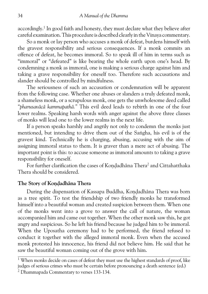accordingly.<sup>1</sup> In good faith and honesty, they must declare what they believe after careful examination. This procedure is described clearly in the Vinaya commentary.

So a monk or lay person who accuses a monk of defeat, burdens himself with the gravest responsibility and serious consequences. If a monk commits an offence of defeat, he becomes immoral. So to speak ill of him in terms such as "immoral" or "defeated" is like bearing the whole earth upon one's head. By condemning a monk as immoral, one is making a serious charge against him and taking a grave responsibility for oneself too. Therefore such accusations and slander should be controlled by mindfulness.

The seriousness of such an accusation or condemnation will be apparent from the following case. Whether one abuses or slanders a truly defeated monk, a shameless monk, or a scrupulous monk, one gets the unwholesome deed called *"pharusavæcæ kammapathæ."* This evil deed leads to rebirth in one of the four lower realms. Speaking harsh words with anger against the above three classes of monks will lead one to the lower realms in the next life.

If a person speaks harshly and angrily not only to condemn the monks just mentioned, but intending to drive them out of the Sangha, his evil is of the gravest kind. Technically he is charging, abusing, accusing with the aim of assigning immoral status to them. It is graver than a mere act of abusing. The important point is this: to accuse someone as immoral amounts to taking a grave responsibility for oneself.

For further clarification the cases of Kondadhāna Thera<sup>2</sup> and Cittahatthaka Thera should be considered.

## The Story of Kondadhāna Thera

During the dispensation of Kassapa Buddha, Kondadhāna Thera was born as a tree spirit. To test the friendship of two friendly monks he transformed himself into a beautiful woman and created suspicion between them. When one of the monks went into a grove to answer the call of nature, the woman accompanied him and came out together. When the other monk saw this, he got angry and suspicious. So he left his friend because he judged him to be immoral. When the Uposatha ceremony had to be performed, the friend refused to conduct it together with the alleged immoral monk. Even when the accused monk protested his innocence, his friend did not believe him. He said that he saw the beautiful woman coming out of the grove with him.

 $1$  When monks decide on cases of defeat they must use the highest standards of proof, like judges of serious crimes who must be certain before pronouncing a death sentence (ed.)

2 Dhammapada Commentary to verses 133-134.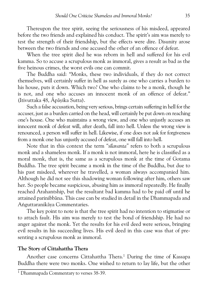Thereupon the tree spirit, seeing the seriousness of his misdeed, appeared before the two friends and explained his conduct. The spirit's aim was merely to test the strength of their friendship, but the effects were dire. Disunity arose between the two friends and one accused the other of an offence of defeat.

When the tree spirit died he was reborn in hell and suffered for his evil kamma. So to accuse a scrupulous monk as immoral, gives a result as bad as the five heinous crimes, the worst evils one can commit.

The Buddha said: "Monks, these two individuals, if they do not correct themselves, will certainly suffer in hell as surely as one who carries a burden to his house, puts it down. Which two? One who claims to be a monk, though he is not, and one who accuses an innocent monk of an offence of defeat." (Itivuttaka 48, Apāyika Sutta).

Such a false accusation, being very serious, brings certain suffering in hell for the accuser, just as a burden carried on the head, will certainly be put down on reaching one's house. One who maintains a wrong view, and one who unjustly accuses an innocent monk of defeat will, after death, fall into hell. Unless the wrong view is renounced, a person will suffer in hell. Likewise, if one does not ask for forgiveness from a monk one has unjustly accused of defeat, one will fall into hell.

Note that in this context the term*"sølavanta"* refers to both a scrupulous monk and a shameless monk. If a monk is not immoral, here he is classified as a moral monk, that is, the same as a scrupulous monk at the time of Gotama Buddha. The tree spirit became a monk in the time of the Buddha, but due to his past misdeed, wherever he travelled, a woman always accompanied him. Although he did not see this shadowing woman following after him, others saw her. So people became suspicious, abusing him as immoral repeatedly. He finally reached Arahantship, but the resultant bad kamma had to be paid off until he attained parinibbāna. This case can be studied in detail in the Dhammapada and Anguttaranikāva Commentaries.

The key point to note is that the tree spirit had no intention to stigmatise or to attach fault. His aim was merely to test the bond of friendship. He had no anger against the monk. Yet the results for his evil deed were serious, bringing evil results in his succeeding lives. His evil deed in this case was that of pre senting a scrupulous monk as immoral.

## **The Story of Cittahattha Thera**

Another case concerns Cittahattha Thera.<sup>1</sup> During the time of Kassapa Buddha there were two monks. One wished to return to lay life, but the other

<sup>&</sup>lt;sup>1</sup> Dhammapada Commentary to verses 38-39.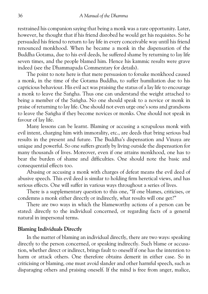restrained his companion saying that being a monk was a rare opportunity. Later, however, he thought that if his friend disrobed he would get his requisites. So he persuaded his friend to return to lay life in every conceivable way until his friend renounced monkhood. When he became a monk in the dispensation of the Buddha Gotama, due to his evil deeds, he suffered shame by returning to lay life seven times, and the people blamed him. Hence his kammic results were grave indeed (see the Dhammapada Commentary for details).

The point to note here is that mere persuasion to forsake monkhood caused a monk, in the time of the Gotama Buddha, to suffer humiliation due to his capricious behaviour. His evil act was praising the status of a lay life to encourage a monk to leave the Sangha. Thus one can understand the weight attached to being a member of the Saṅgha. No one should speak to a novice or monk in praise of returning to lay life. One should not even urge one's sons and grandsons to leave the Sangha if they become novices or monks. One should not speak in favour of lay life.

Many lessons can be learnt. Blaming or accusing a scrupulous monk with evil intent, charging him with immorality, etc., are deeds that bring serious bad results in the present and future. The Buddha's dispensation and Vinaya are unique and powerful. So one suffers greatly by living outside the dispensation for many thousands of lives. Moreover, even if one attains monkhood, one has to bear the burden of shame and difficulties. One should note the basic and consequential effects too.

Abusing or accusing a monk with charges of defeat means the evil deed of abusive speech. This evil deed is similar to holding firm heretical views, and has serious effects. One will suffer in various ways throughout a series of lives.

There is a supplementary question to this one, "If one blames, criticises, or condemns a monk either directly or indirectly, what results will one get?"

There are two ways in which the blameworthy actions of a person can be stated: directly to the individual concerned, or regarding facts of a general natural in impersonal terms.

#### **Blaming Individuals Directly**

In the matter of blaming an individual directly, there are two ways: speaking directly to the person concerned, or speaking indirectly. Such blame or accusation, whether direct or indirect, brings fault to oneself if one has the intention to harm or attack others. One therefore obtains demerit in either case. So in criticising or blaming, one must avoid slander and other harmful speech, such as disparaging others and praising oneself. If the mind is free from anger, malice,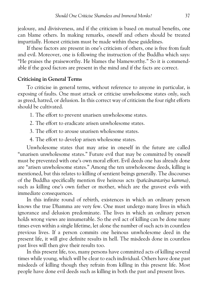jealousy, and divisiveness, and if the criticism is based on mutual benefits, one can blame others. In making remarks, oneself and others should be treated impartially. Honest criticism must be made within these guidelines.

If these factors are present in one's criticism of others, one is free from fault and evil. Moreover, one is following the instruction of the Buddha which says: "He praises the praiseworthy. He blames the blameworthy." So it is commend able if the good factors are present in the mind and if the facts are correct.

## **Criticising in General Terms**

To criticise in general terms, without reference to anyone in particular, is exposing of faults. One must attack or criticise unwholesome states only, such as greed, hatred, or delusion. In this correct way of criticism the four right efforts should be cultivated.

1. The effort to prevent unarisen unwholesome states.

2. The effort to eradicate arisen unwholesome states.

3. The effort to arouse unarisen wholesome states.

4. The effort to develop arisen wholesome states.

Unwholesome states that may arise in oneself in the future are called "unarisen unwholesome states." Future evil that may be committed by oneself must be prevented with one's own moral effort. Evil deeds one has already done are "arisen unwholesome states." Among the ten unwholesome deeds, killing is mentioned, but this relates to killing of sentient beings generally. The discourses of the Buddha specifically mention five heinous acts*(pañcænantariya kamma),* such as killing one's own father or mother, which are the gravest evils with immediate consequences.

In this infinite round of rebirth, existences in which an ordinary person knows the true Dhamma are very few. One must undergo many lives in which ignorance and delusion predominate. The lives in which an ordinary person holds wrong views are innumerable. So the evil act of killing can be done many times even within a single lifetime, let alone the number of such acts in countless previous lives. If a person commits one heinous unwholesome deed in the present life, it will give definite results in hell. The misdeeds done in countless past lives will then give their results too.

In this present life, too, many persons have committed acts of killing several times while young, which will be clear to each individual. Others have done past misdeeds of killing though they refrain from killing in this present life. Most people have done evil deeds such as killing in both the past and present lives.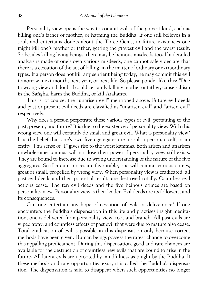Personality view opens the way to commit evils of the gravest kind, such as killing one's father or mother, or harming the Buddha. If one still believes in a soul, and entertains doubts about the Three Gems, in future existences one might kill one's mother or father, getting the gravest evil and the worst result. So besides killing living beings, there may be heinous misdeeds too. If a detailed analysis is made of one's own various misdeeds, one cannot safely declare that there is a cessation of the act of killing, in the matter of ordinary or extraordinary types. If a person does not kill any sentient being today, he may commit this evil tomorrow, next month, next year, or next life. So please ponder like this: "Due to wrong view and doubt I could certainly kill my mother or father, cause schism in the Sangha, harm the Buddha, or kill Arahants."

This is, of course, the "unarisen evil" mentioned above. Future evil deeds and past or present evil deeds are classified as "unarisen evil" and "arisen evil" respectively.

Why does a person perpetrate these various types of evil, pertaining to the past, present, and future? It is due to the existence of personality view. With this wrong view one will certainly do small and great evil. What is personality view? It is the belief that one's own five aggregates are a soul, a person, a self, or an entity. This sense of "I" gives rise to the worst kammas. Both arisen and unarisen unwholesome kammas will not lose their power if personality view still exists. They are bound to increase due to wrong understanding of the nature of the five aggregates. So if circumstances are favourable, one will commit various crimes, great or small, propelled by wrong view. When personality view is eradicated, all past evil deeds and their potential results are destroyed totally. Countless evil actions cease. The ten evil deeds and the five heinous crimes are based on personality view. Personality view is their leader. Evil deeds are its followers, and its consequences.

Can one entertain any hope of cessation of evils or deliverance? If one encounters the Buddha's dispensation in this life and practises insight medita tion, one is delivered from personality view, root and branch. All past evils are wiped away, and countless effects of past evil that were due to mature also cease. Total eradication of evil is possible in this dispensation only because correct methods have been given. Human beings possess the rarest chance to overcome this appalling predicament. During this dispensation, good and rare chances are available for the destruction of countless new evils that are bound to arise in the future. All latent evils are uprooted by mindfulness as taught by the Buddha. If these methods and rare opportunities exist, it is called the Buddha's dispensa tion. The dispensation is said to disappear when such opportunities no longer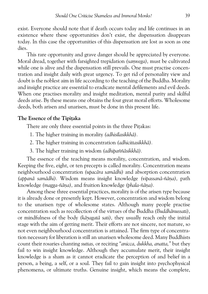exist. Everyone should note that if death occurs today and life continues in an existence where these opportunities don't exist, the dispensation disappears today. In this case the opportunities of this dispensation are lost as soon as one dies.

This rare opportunity and grave danger should be appreciated by everyone. Moral dread, together with farsighted trepidation *(samvega)*, must be cultivated while one is alive and the dispensation still prevails. One must practise concentration and insight daily with great urgency. To get rid of personality view and doubt is the noblest aim in life according to the teaching of the Buddha. Morality and insight practice are essential to eradicate mental defilements and evil deeds. When one practises morality and insight meditation, mental purity and skilful deeds arise. By these means one obtains the four great moral efforts. Wholesome deeds, both arisen and unarisen, must be done in this present life.

## **The Essence of the Tipitaka**

There are only three essential points in the three Pitakas:

- 1. The higher training in morality (adhis*ilasikkhā*).
- 2. The higher training in concentration*(adhicittasikkhæ).*
- 3. The higher training in wisdom*(adhipaññæsikkhæ).*

The essence of the teaching means morality, concentration, and wisdom. Keeping the five, eight, or ten precepts is called morality. Concentration means neighbourhood concentration*(upacæra samædhi)* and absorption concentration (appanā samādhi). Wisdom means insight knowledge (vipassanā-ñāna), path knowledge *(magga-ñāna)*, and fruition knowledge *(phala-ñāna)*.

Among these three essential practices, morality is of the arisen type because it is already done or presently kept. However, concentration and wisdom belong to the unarisen type of wholesome states. Although many people practise concentration such as recollection of the virtues of the Buddha*(Buddhænussati),* or mindfulness of the body*(kæyagatæ sati),* they usually reach only the initial stage with the aim of getting merit. Their efforts are not sincere, not mature, so not even neighbourhood concentration is attained. The firm type of concentra tion necessary for liberation is still an unarisen wholesome deed. Many Buddhists count their rosaries chanting*suttas,* or reciting*"anicca, dukkha, anatta,"* but they fail to win insight knowledge. Although they accumulate merit, their insight knowledge is a sham as it cannot eradicate the perception of and belief in a person, a being, a self, or a soul. They fail to gain insight into psychophysical phenomena, or ultimate truths. Genuine insight, which means the complete,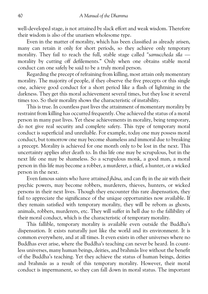well-developed stage, is not attained by slack effort and weak wisdom. Therefore their wisdom is also of the unarisen wholesome type.

Even in the matter of morality, which has been classified as already arisen, many can retain it only for short periods, so they achieve only temporary morality. They fail to reach the full, stable stage called "samuccheda sila morality by cutting off defilements." Only when one obtains stable moral conduct can one safely be said to be a truly moral person.

Regarding the precept of refraining from killing, most attain only momentary morality. The majority of people, if they observe the five precepts or this single one, achieve good conduct for a short period like a flash of lightning in the darkness. They get this moral achievement several times, but they lose it several times too. So their morality shows the characteristic of instability.

This is true. In countless past lives the attainment of momentary morality by restraint from killing has occurred frequently. One achieved the status of a moral person in many past lives. Yet these achievements in morality, being temporary, do not give real security and complete safety. This type of temporary moral conduct is superficial and unreliable. For example, today one may possess moral conduct, but tomorrow one may become shameless and immoral due to breaking a precept. Morality is achieved for one month only to be lost in the next. This uncertainty applies after death to. In this life one may be scrupulous, but in the next life one may be shameless. So a scrupulous monk, a good man, a moral person in this life may become a robber, a murderer, a thief, a hunter, or a wicked person in the next.

Even famous saints who have attained*jhæna,* and can fly in the air with their psychic powers, may become robbers, murderers, thieves, hunters, or wicked persons in their next lives. Though they encounter this rare dispensation, they fail to appreciate the significance of the unique opportunities now available. If they remain satisfied with temporary morality, they will be reborn as ghosts, animals, robbers, murderers, etc. They will suffer in hell due to the fallibility of their moral conduct, which is the characteristic of temporary morality.

This fallible, temporary morality is available even outside the Buddha's dispensation. It exists naturally just like the world and its environment. It is common everywhere, and at all times. It even exists in other universes where no Buddhas ever arise, where the Buddha's teaching can never be heard. In count less universes, many human beings, deities, and brahmās live without the benefit of the Buddha's teaching. Yet they achieve the status of human beings, deities and brahmæs as a result of this temporary morality. However, their moral conduct is impermanent, so they can fall down in moral status. The important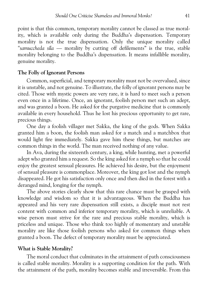point is that this common, temporary morality cannot be classed as true moral ity, which is available only during the Buddha's dispensation. Temporary morality is not the true dispensation. Only the unique morality called *"samuccheda søla* — morality by cutting off defilements" is the true, stable morality belonging to the Buddha's dispensation. It means infallible morality, genuine morality.

### **The Folly of Ignorant Persons**

Common, superficial, and temporary morality must not be overvalued, since it is unstable, and not genuine. To illustrate, the folly of ignorant persons may be cited. Those with mystic powers are very rare, it is hard to meet such a person even once in a lifetime. Once, an ignorant, foolish person met such an adept, and was granted a boon. He asked for the purgative medicine that is commonly available in every household. Thus he lost his precious opportunity to get rare, precious things.

One day a foolish villager met Sakka, the king of the gods. When Sakka granted him a boon, the foolish man asked for a match and a matchbox that would light fire immediately. Sakka gave him these things, but matches are common things in the world. The man received nothing of any value.

In Ava, during the sixteenth century, a king, while hunting, met a powerful adept who granted him a request. So the king asked for a nymph so that he could enjoy the greatest sensual pleasures. He achieved his desire, but the enjoyment of sensual pleasure is commonplace. Moreover, the king got lost and the nymph disappeared. He got his satisfaction only once and then died in the forest with a deranged mind, longing for the nymph.

The above stories clearly show that this rare chance must be grasped with knowledge and wisdom so that it is advantageous. When the Buddha has appeared and his very rare dispensation still exists, a disciple must not rest content with common and inferior temporary morality, which is unreliable. A wise person must strive for the rare and precious stable morality, which is priceless and unique. Those who think too highly of momentary and unstable morality are like those foolish persons who asked for common things when granted a boon. The defect of temporary morality must be appreciated.

## **What is Stable Morality?**

The moral conduct that culminates in the attainment of path consciousness is called stable morality. Morality is a supporting condition for the path. With the attainment of the path, morality becomes stable and irreversible. From this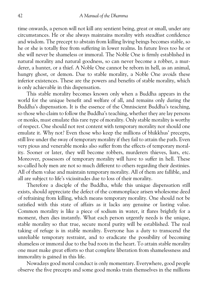time onwards, a person will not kill any sentient being, great or small, under any circumstances. He or she always maintains morality with steadfast confidence and wisdom. The precept to abstain from killing living beings becomes stable, so he or she is totally free from suffering in lower realms. In future lives too he or she will never be shameless or immoral. The Noble One is firmly established in natural morality and natural goodness, so can never become a robber, a mur derer, a hunter, or a thief. A Noble One cannot be reborn in hell, as an animal, hungry ghost, or demon. Due to stable morality, a Noble One avoids these inferior existences. These are the powers and benefits of stable morality, which is only achievable in this dispensation.

This stable morality becomes known only when a Buddha appears in the world for the unique benefit and welfare of all, and remains only during the Buddha's dispensation. It is the essence of the Omniscient Buddha's teaching, so those who claim to follow the Buddha's teaching, whether they are lay persons or monks, must emulate this rare type of morality. Only stable morality is worthy of respect. One should not rest content with temporary morality nor should one emulate it. Why not? Even those who keep the millions of bhikkhus' precepts, still live under the sway of temporary morality if they fail to attain the path. Even very pious and venerable monks also suffer from the effects of temporary moral ity. Sooner or later, they will become robbers, murderers thieves, liars, etc. Moreover, possessors of temporary morality will have to suffer in hell. These so-called holy men are not so much different to others regarding their destinies. All of them value and maintain temporary morality. All of them are fallible, and all are subject to life's vicissitudes due to loss of their morality.

Therefore a disciple of the Buddha, while this unique dispensation still exists, should appreciate the defect of the commonplace arisen wholesome deed of refraining from killing, which means temporary morality. One should not be satisfied with this state of affairs as it lacks any genuine or lasting value. Common morality is like a piece of sodium in water, it flares brightly for a moment, then dies instantly. What each person urgently needs is the unique, stable morality so that true, secure moral purity will be established. The real taking of refuge is in stable morality. Everyone has a duty to transcend the unreliable temporary restraint, and to eradicate the possibility of becoming shameless or immoral due to the bad roots in the heart. To attain stable morality one must make great efforts so that complete liberation from shamelessness and immorality is gained in this life.

Nowadays good moral conduct is only momentary. Everywhere, good people observe the five precepts and some good monks train themselves in the millions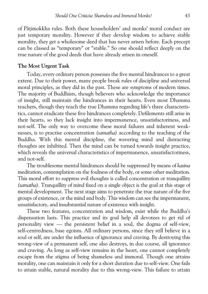of Pātimokkha rules. Both these householders' and monks' moral conduct are just temporary morality. However if they develop wisdom to achieve stable morality, they get a wholesome deed that has never arisen before. Each precept can be classed as "temporary" or "stable." So one should reflect deeply on the true nature of the good deeds that have already arisen in oneself.

### **The Most Urgent Task**

Today, every ordinary person possesses the five mental hindrances to a great extent. Due to their power, many people break rules of discipline and universal moral principles, as they did in the past. These are symptoms of modern times. The majority of Buddhists, though believers who acknowledge the importance of insight, still maintain the hindrances in their hearts. Even most Dhamma teachers, though they teach the true Dhamma regarding life's three characteris tics, cannot eradicate these five hindrances completely. Defilements still arise in their hearts, so they lack insight into impermanence, unsatisfactoriness, and not-self. The only way to overcome these moral failures and inherent weak nesses, is to practise concentration*(samatha)* according to the teaching of the Buddha. With this mental discipline, the wavering mind and distracting thoughts are inhibited. Then the mind can be turned towards insight practice, which reveals the universal characteristics of impermanence, unsatisfactoriness, and not-self.

The troublesome mental hindrances should be suppressed by means of*kasina* meditation, contemplation on the foulness of the body, or some other meditation. This moral effort to suppress evil thoughts is called concentration or tranquillity *(samatha).* Tranquillity of mind fixed on a single object is the goal at this stage of mental development. The next stage aims to penetrate the true nature of the five groups of existence, or the mind and body. This wisdom can see the impermanent, unsatisfactory, and insubstantial nature of existence with insight.

These two features, concentration and wisdom, exist while the Buddha's dispensation lasts. This practice and its goal help all devotees to get rid of personality view — the persistent belief in a soul, the dogma of self-view, self-centredness, base egoism. All ordinary persons, since they still believe in a soul or self, are under the influence of ignorance and craving. By destroying this wrong-view of a permanent self, one also destroys, in due course, all ignorance and craving. As long as self-view remains in the heart, one cannot completely escape from the stigma of being shameless and immoral. Though one attains morality, one can maintain it only for a short duration due to self-view. One fails to attain stable, natural morality due to this wrong-view. This failure to attain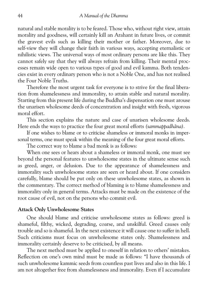natural and stable morality is to be feared. Those who, without right view, attain morality and goodness, will certainly kill an Arahant in future lives, or commit the gravest evils such as killing their mother or father. Moreover, due to self-view they will change their faith in various ways, accepting eternalistic or nihilistic views. The universal ways of most ordinary persons are like this. They cannot safely say that they will always refrain from killing. Their mental proc esses remain wide open to various types of good and evil kamma. Both tenden cies exist in every ordinary person who is not a Noble One, and has not realised the Four Noble Truths.

Therefore the most urgent task for everyone is to strive for the final libera tion from shamelessness and immorality, to attain stable and natural morality. Starting from this present life during the Buddha's dispensation one must arouse the unarisen wholesome deeds of concentration and insight with fresh, vigorous moral effort.

This section explains the nature and case of unarisen wholesome deeds. Here ends the ways to practice the four great moral efforts (sammappadhāna).

If one wishes to blame or to criticise shameless or immoral monks in imper sonal terms, one must speak within the meaning of the four great moral efforts.

The correct way to blame a bad monk is as follows:

When one sees or hears about a shameless or immoral monk, one must see beyond the personal features to unwholesome states in the ultimate sense such as greed, anger, or delusion. Due to the appearance of shamelessness and immorality such unwholesome states are seen or heard about. If one considers carefully, blame should be put only on these unwholesome states, as shown in the commentary. The correct method of blaming is to blame shamelessness and immorality only in general terms. Attacks must be made on the existence of the root cause of evil, not on the persons who commit evil.

### **Attack Only Unwholesome States**

One should blame and criticise unwholesome states as follows: greed is shameful, filthy, wicked, degrading, coarse, and unskilful. Greed causes only trouble and so is shameful. In the next existence it will cause one to suffer in hell. Such criticisms must focus on unwholesome states only. Shamelessness and immorality certainly deserve to be criticised, by all means.

The next method must be applied to oneself in relation to others' mistakes. Reflection on one's own mind must be made as follows: "I have thousands of such unwholesome kammic seeds from countless past lives and also in this life. I am not altogether free from shamelessness and immorality. Even if I accumulate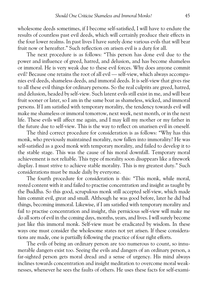wholesome deeds sometimes, if I become self-satisfied, I will have to endure the results of countless past evil deeds, which will certainly produce their effects in the four lower realms. In past lives I have surely done various evils that will bear fruit now or hereafter." Such reflection on arisen evil is a duty for all.

The next procedure is as follows: "This person has done evil due to the power and influence of greed, hatred, and delusion, and has become shameless or immoral. He is very weak due to these evil forces. Why does anyone commit evil? Because one retains the root of all evil — self-view, which always accompa nies evil deeds, shameless deeds, and immoral deeds. It is self-view that gives rise to all these evil things for ordinary persons. So the real culprits are greed, hatred, and delusion, headed by self-view. Such latent evils still exist in me, and will bear fruit sooner or later, so I am in the same boat as shameless, wicked, and immoral persons. If I am satisfied with temporary morality, the tendency towards evil will make me shameless or immoral tomorrow, next week, next month, or in the next life. These evils will affect me again, and I may kill my mother or my father in the future due to self-view. This is the way to reflect on unarisen evil in oneself.

The third correct procedure for consideration is as follows: "Why has this monk, who previously maintained morality, now fallen into immorality? He was self-satisfied as a good monk with temporary morality, and failed to develop it to the stable stage. This was the cause of his moral downfall. Temporary moral achievement is not reliable. This type of morality soon disappears like a firework display. I must strive to achieve stable morality. This is my greatest duty." Such considerations must be made daily by everyone.

The fourth procedure for consideration is this: "This monk, while moral, rested content with it and failed to practise concentration and insight as taught by the Buddha. So this good, scrupulous monk still accepted self-view, which made him commit evil, great and small. Although he was good before, later he did bad things, becoming immoral. Likewise, if I am satisfied with temporary morality and fail to practise concentration and insight, this pernicious self-view will make me do all sorts of evil in the coming days, months, years, and lives. I will surely become just like this immoral monk. Self-view must be eradicated by wisdom. In these ways one must consider the wholesome states not yet arisen. If these considera tions are made, one is partially following the practice of four right efforts.

The evils of being an ordinary person are too numerous to count, so innu merable dangers exist too. Seeing the evils and dangers of an ordinary person, a far-sighted person gets moral dread and a sense of urgency. His mind always inclines towards concentration and insight meditation to overcome moral weak nesses, whenever he sees the faults of others. He uses these facts for self-exami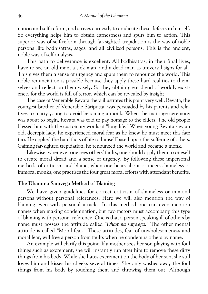nation and self-reform, and strives earnestly to eradicate these defects in himself. So everything helps him to obtain earnestness and spurs him to action. This superior way of self-reform through far-sighted trepidation is the way of noble persons like bodhisattas, sages, and all civilized persons. This is the ancient, noble way of self-analysis.

This path to deliverance is excellent. All bodhisattas, in their final lives, have to see an old man, a sick man, and a dead man as universal signs for all. This gives them a sense of urgency and spurs them to renounce the world. This noble renunciation is possible because they apply these hard realities to them selves and reflect on them wisely. So they obtain great dread of worldly exist ence, for the world is full of terror, which can be revealed by insight.

The case of Venerable Revata thera illustrates this point very well. Revata, the youngest brother of Venerable Særiputta, was persuaded by his parents and rela tives to marry young to avoid becoming a monk. When the marriage ceremony was about to begin, Revata was told to pay homage to the elders. The old people blessed him with the customary words of "long life." When young Revata saw an old, decrepit lady, he experienced moral fear as he knew he must meet this fate too. He applied the hard facts of life to himself based upon the suffering of others. Gaining far-sighted trepidation, he renounced the world and became a monk.

Likewise, whenever one sees others' faults, one should apply them to oneself to create moral dread and a sense of urgency. By following these impersonal methods of criticism and blame, when one hears about or meets shameless or immoral monks, one practises the four great moral efforts with attendant benefits.

## **The Dhamma Samvega Method of Blaming**

We have given guidelines for correct criticism of shameless or immoral persons without personal references. Here we will also mention the way of blaming even with personal attacks. In this method one can even mention names when making condemnation, but two factors must accompany this type of blaming with personal reference. One is that a person speaking ill of others by name must possess the attitude called "Dhamma samvega." The other mental attitude is called "Moral fear." These attitudes, fear of unwholesomeness and moral fear, will free a person from faults when he condemns others by name.

An example will clarify this point. If a mother sees her son playing with foul things such as excrement, she will instantly run after him to remove these dirty things from his body. While she hates excrement on the body of her son, she still loves him and kisses his cheeks several times. She only washes away the foul things from his body by touching them and throwing them out. Although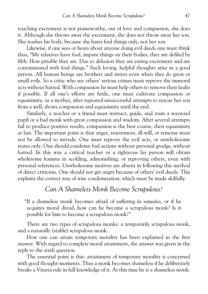touching excrement is not praiseworthy, out of love and compassion, she does it. Although she throws away the excrement, she does not throw away her son. She washes his body, because she hates foul things only, not her son.

Likewise, if one sees or hears about anyone doing evil deeds one must think thus, "My relatives have foul, impure things on their bodies, they are defiled by filth. How pitiable they are. Due to delusion they are eating excrement and are contaminated with foul things." Such loving, helpful thoughts arise in a good person. All human beings are brothers and sisters even when they do great or small evils. So a critic who see others' serious crimes must reprove the immoral acts without hatred. With compassion he must help others to remove their faults if possible. If all one's efforts are futile, one must cultivate compassion or equanimity, as a mother, after repeated unsuccessful attempts to rescue her son from a well, shows compassion and equanimity until the end.

Similarly, a teacher or a friend must instruct, guide, and train a wayward pupil or a bad monk with great compassion and wisdom. After several attempts fail to produce positive results, compassion is the best course, then equanimity at last. The important point is that anger, resentment, ill-will, or remorse must not be allowed to intrude. One must reprove the evil acts, or unwholesome states only. One should condemn bad actions without personal grudge, without hatred. In this way a critical teacher or a righteous lay person will obtain wholesome kamma in scolding, admonishing, or reproving others, even with personal references. Unwholesome motives are absent in following this method of direct criticism. One should not get angry because of others' evil deeds. This explains the correct way of wise condemnation, which must be made skilfully.

## *Can A Shameless Monk Become Scrupulous?*

"If a shameless monk becomes afraid of suffering in samsāra, or if he acquires moral dread, how can he become a scrupulous monk? Is it possible for him to become a scrupulous monk?"

There are two types of scrupulous monks: a temporarily scrupulous monk, and a naturally (stable) scrupulous monk.

How one can attain temporary morality has been explained in the first answer. With regard to complete moral attainment, the answer was given in the reply to the sixth question.

The essential point is this: attainment of temporary morality is concerned with good thought-moments. Thus a monk becomes shameless if he deliberately breaks a Vinaya rule in full knowledge of it. At this time he is a shameless monk.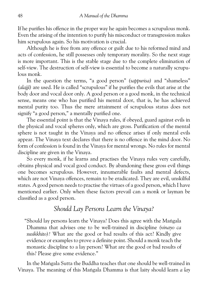If he purifies his offence in the proper way he again becomes a scrupulous monk. Even the arising of the intention to purify his misconduct or transgression makes him scrupulous again. So his motivation is crucial.

Although he is free from any offence or guilt due to his reformed mind and acts of confession, he still possesses only temporary morality. So the next stage is more important. This is the stable stage due to the complete elimination of self-view. The destruction of self-view is essential to become a naturally scrupu lous monk.

In the question the terms, "a good person"*(sappurisa)* and "shameless" *(alajjø)* are used. He is called "scrupulous" if he purifies the evils that arise at the body door and vocal door only. A good person or a good monk, in the technical sense, means one who has purified his mental door, that is, he has achieved mental purity too. Thus the mere attainment of scrupulous status does not signify "a good person," a mentally purified one.

The essential point is that the Vinaya rules, if obeyed, guard against evils in the physical and vocal spheres only, which are gross. Purification of the mental sphere is not taught in the Vinaya and no offence arises if only mental evils appear. The Vinaya text declares that there is no offence in the mind door. No form of confession is found in the Vinaya for mental wrongs. No rules for mental discipline are given in the Vinaya.

So every monk, if he learns and practises the Vinaya rules very carefully, obtains physical and vocal good conduct. By abandoning these gross evil things one becomes scrupulous. However, innumerable faults and mental defects, which are not Vinaya offences, remain to be eradicated. They are evil, unskilful states. A good person needs to practise the virtues of a good person, which I have mentioned earlier. Only when these factors prevail can a monk or layman be classified as a good person.

## *Should Lay Persons Learn the Vinaya?*

"Should lay persons learn the Vinaya? Does this agree with the Mangala Dhamma that advises one to be well-trained in discipline*(vinayo ca susikkhito)?* What are the good or bad results of this act? Kindly give evidence or examples to prove a definite point. Should a monk teach the monastic discipline to a lay person? What are the good or bad results of this? Please give some evidence."

In the Mangala Sutta the Buddha teaches that one should be well-trained in Vinaya. The meaning of this Mangala Dhamma is that laity should learn a lay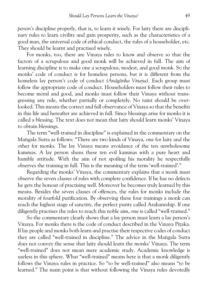*person's* discipline properly, that is, to learn it wisely. For laity there are discipli nary rules to learn civility and gain prosperity, such as the characteristics of a good man, the universal code of ethical conduct, the rules of a householder, etc. They should be learnt and practised wisely.

For monks, too, there are Vinaya rules to know and observe so that the factors of a scrupulous and good monk will be achieved in full. The aim of learning discipline is to make one a scrupulous, modest, and good monk. So the monks' code of conduct is for homeless persons, but it is different from the homeless lay person's code of conduct*(Anægærika Vinaya).*Each group must follow the appropriate code of conduct. Householders must follow their rules to become moral and good, and monks must follow their Vinaya without trans gressing any rule, whether partially or completely. No taint should be over looked. This means the correct and full observance of Vinaya so that the benefits in this life and hereafter are achieved in full. Since blessings arise for monks it is called a blessing. The text does not mean that laity should learn monks' Vinaya to obtain blessings.

The term "well-trained in discipline" is explained in the commentary on the Mangala Sutta as follows: "There are two kinds of Vinaya, one for laity and the other for monks. The lay Vinaya means avoidance of the ten unwholesome kammas. A lay person shuns these ten evil kammas with a pure heart and humble attitude. With the aim of not spoiling his morality he respectfully observes the training in full. This is the meaning of the term 'well-trained'."

Regarding the monks' Vinaya, the commentary explains that a monk must observe the seven classes of rules with complete confidence. If he has no defects he gets the honour of practising well. Moreover he becomes truly learned by this means. Besides the seven classes of offences, the rules for monks include the morality of fourfold purification. By observing these four trainings a monk can reach the highest stage of sanctity, the perfect purity called Arahantship. If one diligently practises the rules to reach this noble aim, one is called "well-trained."

So the commentary clearly shows that a lay person must learn a lay person's Vinaya. For monks there is the code of conduct described in the Vinaya Pitaka. If lay people and monks both learn and practise their respective codes of conduct they are called "well-trained in discipline." The advice in the Mangala Sutta does not convey the sense that laity should learn the monks' Vinaya. The term "well-trained" does not mean mere academic study. Academic knowledge is useless in this sphere. What "well-trained" means here is that a monk diligently follows the Vinaya rules in practice. So "to be well-trained" also means "to be learned." The main point is that without following the Vinaya rules devotedly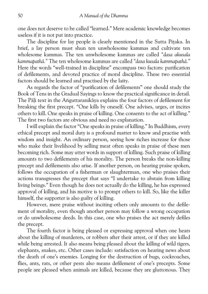one does not deserve to be called "learned." Mere academic knowledge becomes useless if it is not put into practice.

The discipline for lay people is clearly mentioned in the Sutta Pitaka. In brief, a lay person must shun ten unwholesome kammas and cultivate ten wholesome kammas. The ten unwholesome kammas are called*"dasa akusala kammapathæ."* The ten wholesome kammas are called*"dasa kusala kammapathæ."* Here the words "well-trained in discipline" encompass two factors: purification of defilements, and devoted practice of moral discipline. These two essential factors should be learned and practised by the laity.

As regards the factor of "purification of defilements" one should study the Book of Tens in the Gradual Sayings to know the practical significance in detail. The Pāli text in the Anguttaranikāya explains the four factors of defilement for breaking the first precept. "One kills by oneself. One advises, urges, or incites others to kill. One speaks in praise of killing. One consents to the act of killing." The first two factors are obvious and need no explanation.

I will explain the factor "One speaks in praise of killing." In Buddhism, every ethical precept and moral duty is a profound matter to know and practise with wisdom and insight. An ordinary person, seeing how riches increase for those who make their livelihood by selling meat often speaks in praise of these men becoming rich. Some may utter words in support of killing. Such praise of killing amounts to two defilements of his morality. The person breaks the non-killing precept and defilements also arise. If another person, on hearing praise spoken, follows the occupation of a fisherman or slaughterman, one who praises their actions transgresses the precept that says "I undertake to abstain from killing living beings." Even though he does not actually do the killing, he has expressed approval of killing, and his motive is to prompt others to kill. So, like the killer himself, the supporter is also guilty of killing.

However, mere praise without inciting others only amounts to the defile ment of morality, even though another person may follow a wrong occupation or do unwholesome deeds. In this case, one who praises the act merely defiles the precept.

The fourth factor is being pleased or expressing approval when one hears about the killing of murderers, or robbers after their arrest, or if they are killed while being arrested. It also means being pleased about the killing of wild tigers, elephants, snakes, etc. Other cases include: satisfaction on hearing news about the death of one's enemies. Longing for the destruction of bugs, cockroaches, flies, ants, rats, or other pests also means defilement of one's precepts. Some people are pleased when animals are killed, because they are gluttonous. They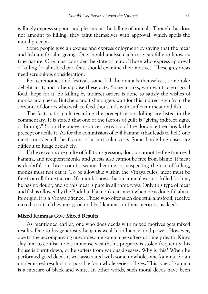willingly express support and pleasure at the killing of animals. Though this does not amount to killing, they taint themselves with approval, which spoils the moral precept.

Some people give an excuse and express enjoyment by saying that the meat and fish are for almsgiving. One should analyse each case carefully to know its true nature. One must consider the state of mind. Those who express approval of killing for almsfood or a feast should examine their motives. These grey areas need scrupulous consideration.

For ceremonies and festivals some kill the animals themselves, some take delight in it, and others praise these acts. Some monks, who want to eat good food, hope for it. So killing by indirect orders is done to satisfy the wishes of monks and guests. Butchers and fishmongers wait for this indirect sign from the servants of donors who wish to feed thousands with sufficient meat and fish.

The factors for guilt regarding the precept of not killing are listed in the commentary. It is stated that one of the factors of guilt is "giving indirect signs, or hinting." So in the above instances, servants of the donors either break the precept or defile it. As for the commission of evil kamma (that leads to hell) one must consider all the factors of a particular case. Some borderline cases are difficult to judge decisively.

If the servants are guilty of full transgression, donors cannot be free from evil kamma, and recipient monks and guests also cannot be free from blame. If meat is doubtful on three counts: seeing, hearing, or suspecting the act of killing, monks must not eat it. To be allowable within the Vinaya rules, meat must be free from all three factors. If a monk knows that an animal was not killed for him, he has no doubt, and so this meat is pure in all three ways. Only this type of meat and fish is allowed by the Buddha. If a monk eats meat when he is doubtful about its origin, it is a Vinaya offence. Those who offer such doubtful almsfood, receive mixed results if they mix good and bad kammas in their meritorious deeds.

## **Mixed Kammas Give Mixed Results**

As mentioned earlier, one who does deeds with mixed motives gets mixed results. Due to his generosity he gains wealth, influence, and power. However, due to the accompanying unwholesome kamma he suffers untimely death. Kings slay him to confiscate his immense wealth, his property is stolen frequently, his house is burnt down, or he suffers from various diseases. Why is this? When he performed good deeds it was associated with some unwholesome kamma. So an unblemished result is not possible for a whole series of lives. This type of kamma is a mixture of black and white. In other words, such moral deeds have been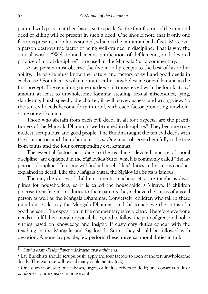planted with poison at their bases, so to speak. So the four factors of the immoral deed of killing will be present in such a deed. One should note that if only one factor is present, morality is stained, which is the minimum bad effect. Moreover a person destroys the factor of being well-trained in discipline. That is why the crucial words, "Well-trained means purification of defilements, and devoted practise of moral discipline"<sup>1</sup> are used in the Maṅgala Sutta commentary.

A lay person must observe the five moral precepts to the best of his or her ability. He or she must know the nature and factors of evil and good deeds in each case.2 Four factors will amount to either unwholesome or evil kamma in the first precept. The remaining nine misdeeds, if transgressed with the four factors,<sup>3</sup> amount at least to unwholesome kamma: stealing, sexual misconduct, lying, slandering, harsh speech, idle chatter, ill-will, covetousness, and wrong view. So the ten evil deeds become forty in total, with each factor promoting unwhole some or evil kamma.

Those who abstain from each evil deed, in all four aspects, are the practi tioners of the Mangala Dhamma "well-trained in discipline." They become truly modest, scrupulous, and good people. The Buddha taught the ten evil deeds with the four factors and their characteristics. One must observe them fully to be free from taints and the four corresponding evil kammas.

The essential factors according to the teaching "devoted practise of moral discipline" are explained in the Sīgālovāda Sutta, which is commonly called "the lay person's discipline." In it one will find a householders' duties and virtuous conduct explained in detail. Like the Mangala Sutta, the Sīgālovāda Sutta is famous.

Therein, the duties of children, parents, teachers, etc., are taught as disci plines for householders, so it is called the householder's Vinaya. If children practise their five moral duties to their parents they achieve the status of a good person as well as the Mangala Dhammas. Conversely, children who fail in these moral duties destroy the Mangala Dhammas and fail to achieve the status of a good person. The exposition in the commentary is very clear. Therefore everyone needs to fulfil their moral responsibilities, and to follow the path of great and noble virtues based on knowledge and insight. If customary duties concur with the teaching in the Mangala and Sigalovada Suttas they should be followed with devotion. Among lay people, few perform these universal moral duties in full.

<sup>&</sup>lt;sup>1</sup> "Tattha asamkilesāpajjanena ācāragunavavatthānena."

<sup>&</sup>lt;sup>2</sup> Lay Buddhists should scrupulously apply the four factors to each of the ten unwholesome deeds. This exercise will reveal many defilements. (ed.)

<sup>&</sup>lt;sup>3</sup> One does it oneself; one advises, urges, or incites others to do it; one consents to it or condones it; one speaks in praise of it.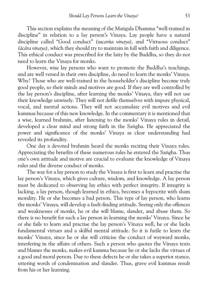This section explains the meaning of the Mangala Dhamma "well-trained in discipline" in relation to a lay person's Vinaya. Lay people have a natural discipline called "Good conduct"*(sucarita vinaya),* and "Virtuous conduct" *(æcæra vinaya),*which they should try to maintain in full with faith and diligence. This ethical conduct was prescribed for the laity by the Buddha, so they do not need to learn the Vinaya for monks.

However, wise lay persons who want to promote the Buddha's teachings, and are well versed in their own discipline, do need to learn the monks' Vinaya. Why? Those who are well-trained in the householder's discipline become truly good people, so their minds and motives are good. If they are well controlled by the lay person's discipline, after learning the monks' Vinaya, they will not use their knowledge unwisely. They will not defile themselves with impure physical, vocal, and mental actions. They will not accumulate evil motives and evil kammas because of this new knowledge. In the commentary it is mentioned that a wise, learned brahmin, after listening to the monks' Vinaya rules in detail, developed a clear mind and strong faith in the Sangha. He appreciated the power and significance of the monks' Vinaya as clear understanding had revealed its profundity.

One day a devoted brahmin heard the monks reciting their Vinaya rules. Appreciating the benefits of these numerous rules he entered the Sangha. Thus one's own attitude and motive are crucial to evaluate the knowledge of Vinaya rules and the diverse conduct of monks.

The way for a lay person to study the Vinaya is first to learn and practise the lay person's Vinaya, which gives culture, wisdom, and knowledge. A lay person must be dedicated to observing lay ethics with perfect integrity. If integrity is lacking, a lay person, though learned in ethics, becomes a hypocrite with sham morality. He or she becomes a bad person. This type of lay person, who learns the monks' Vinaya, will develop a fault-finding attitude. Seeing only the offences and weaknesses of monks, he or she will blame, slander, and abuse them. So there is no benefit for such a lay person in learning the monks' Vinaya. Since he or she fails to learn and practise the lay person's Vinaya well, he or she lacks fundamental virtues and a skilful mental attitude. So it is futile to learn the monks' Vinaya, since he or she will criticise the conduct of wayward monks, interfering in the affairs of others. Such a person who quotes the Vinaya texts and blames the monks, makes evil kamma because he or she lacks the virtues of a good and moral person. Due to these defects he or she takes a superior stance, uttering words of condemnation and slander. Thus, grave evil kammas result from his or her learning.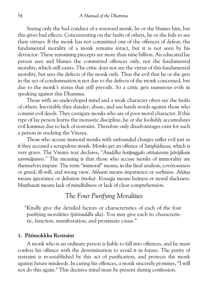Seeing only the bad conduct of a wayward monk, he or she blames him, but this gives bad effects. Concentrating on the faults of others, he or she fails to see their virtues. If the monk has not committed one of the offences of defeat, the fundamental morality of a monk remains intact, but it is not seen by his detractor. These remaining precepts are more than nine billion. An educated lay person sees and blames the committed offences only, not the fundamental morality, which still exists. The critic does not see the virtue of this fundamental morality, but sees the defects of the monk only. Thus the evil that he or she gets in the act of condemnation is not due to the defects of the monk concerned, but due to the monk's status that still prevails. So a critic gets numerous evils in speaking against this Dhamma.

Those with an undeveloped mind and a weak character often see the faults of others. Inevitably they slander, abuse, and use harsh words against those who commit evil deeds. They castigate monks who are of poor moral character. If this type of lay person learns the monastic discipline, he or she foolishly accumulates evil kammas due to lack of restraint. Therefore only disadvantages exist for such a person in studying the Vinaya.

Those who accuse immoral monks with unfounded charges suffer evil just as if they accused a scrupulous monk. Monks get an offence of *Sanghādisesa*, which is very grave. The Vinaya text declares, "Asuddha hotipuggalo aññataram pārājikam *sammæpanno."* The meaning is that those who accuse monks of immorality are themselves impure. The term "immoral" means, in the final analysis, covetousness or greed, ill-will, and wrong view. Akhanti means impatience or surliness. Añāna means ignorance or delusion*(moha).Kossajja* means laziness or moral slackness. *Mutthasati* means lack of mindfulness or lack of clear comprehension.

# *The Four Purifying Moralities*

"Kindly give the detailed factors or characteristics of each of the four purifying moralities*(pærisuddhi søla).* You may give each its characteris tic, function, manifestation, and proximate cause."

### **1. Pætimokkha Restraint**

A monk who is an ordinary person is liable to fall into offences, and he must confess his offence with the determination to avoid it in future. The purity of restraint is re-established by this act of purification, and protects the monk against future misdeeds. In curing his offences, a monk sincerely promises, "I will not do this again." This decisive mind must be present during confession.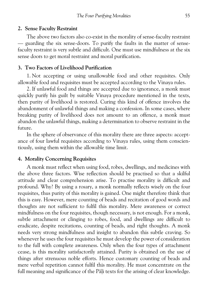#### **2. Sense Faculty Restraint**

The above two factors also co-exist in the morality of sense-faculty restraint — guarding the six sense-doors. To purify the faults in the matter of sense faculty restraint is very subtle and difficult. One must use mindfulness at the six sense doors to get moral restraint and moral purification.

### **3. Two Factors of Livelihood Purification**

1. Not accepting or using unallowable food and other requisites. Only allowable food and requisites must be accepted according to the Vinaya rules.

2. If unlawful food and things are accepted due to ignorance, a monk must quickly purify his guilt by suitable Vinaya procedure mentioned in the texts, then purity of livelihood is restored. Curing this kind of offence involves the abandonment of unlawful things and making a confession. In some cases, where breaking purity of livelihood does not amount to an offence, a monk must abandon the unlawful things, making a determination to observe restraint in the future.

In the sphere of observance of this morality there are three aspects: accept ance of four lawful requisites according to Vinaya rules, using them conscien tiously, using them within the allowable time limit.

### **4. Morality Concerning Requisites**

A monk must reflect when using food, robes, dwellings, and medicines with the above three factors. Wise reflection should be practised so that a skilful attitude and clear comprehension arise. To practise morality is difficult and profound. Why? By using a rosary, a monk normally reflects wisely on the four requisites, thus purity of this morality is gained. One might therefore think that this is easy. However, mere counting of beads and recitation of good words and thoughts are not sufficient to fulfil this morality. Mere awareness or correct mindfulness on the four requisites, though necessary, is not enough. For a monk, subtle attachment or clinging to robes, food, and dwellings are difficult to eradicate, despite recitations, counting of beads, and right thoughts. A monk needs very strong mindfulness and insight to abandon this subtle craving. So whenever he uses the four requisites he must develop the power of consideration to the full with complete awareness. Only when the four types of attachment cease, is this morality satisfactorily attained. Purity is obtained on the use of things after strenuous noble efforts. Hence customary counting of beads and mere verbal repetition cannot fulfil this morality. He must concentrate on the full meaning and significance of the Pali texts for the arising of clear knowledge.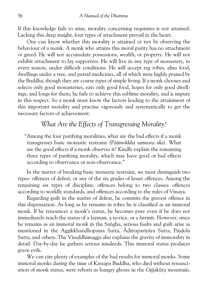If this knowledge fails to arise, morality concerning requisites is not attained. Lacking this deep insight, four types of attachment prevail in the heart.

One can know whether this morality is attained or not by observing the behaviour of a monk. A monk who attains this moral purity has no attachment or greed. He will not accumulate possessions, wealth, or property. He will not exhibit attachment to lay supporters. He will live in any type of monastery, in every season, under difficult conditions. He will accept rag robes, alms food, dwellings under a tree, and putrid medicines, all of which were highly praised by the Buddha, though they are coarse types of simple living. If a monk chooses and selects only good monasteries, eats only good food, hopes for only good dwell ings, and longs for them, he fails to achieve this sublime morality, and is impure in this respect. So a monk must know the factors leading to the attainment of this important morality and practise vigorously and systematically to get the necessary factors of achievement.

# *What Are the Effects of Transgressing Morality?*

"Among the four purifying moralities, what are the bad effects if a monk transgresses basic monastic restraint (Pātimokkha samvara sīla). What are the good effects if a monk observes it? Kindly explain the remaining three types of purifying morality, which may have good or bad effects according to observance or non-observance."

In the matter of breaking basic monastic restraint, we must distinguish two types: offences of defeat, or any of the six grades of lesser offences. Among the remaining six types of discipline, offences belong to two classes: offences according to worldly standards, and offences according to the rules of Vinaya.

Regarding guilt in the matter of defeat, he commits the gravest offence in this dispensation. As long as he remains in robes he is classified as an immoral monk. If he renounces a monk's status, he becomes pure even if he does not immediately reach the status of a layman, a novice, or a hermit. However, since he remains as an immoral monk in the Sangha, serious faults and guilt arise as mentioned in the Aggikkhandhopama Sutta, Ādittapariyāya Sutta, Pindola Sutta, and others. The Visuddhimagga also explains the gravity of immorality in detail. Day-by-day he gathers serious misdeeds. This immoral status produces grave evils.

We can cite plenty of examples of the bad results for immoral monks. Some immoral monks during the time of Kassapa Buddha, who died without renunci ation of monk status, were reborn as hungry ghosts in the Gijjakūta mountain.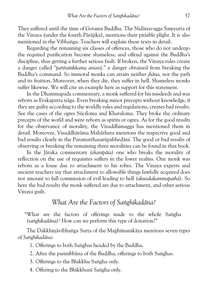They suffered until the time of Gotama Buddha. The Nidānavagga Samyutta of the Vinaya (under the fourth Pæræjika), mentions their pitiable plight. It is also mentioned in the Vibhanga. Teachers will explain these texts in detail.

Regarding the remaining six classes of offences, those who do not undergo the required purification become shameless, and offend against the Buddha's discipline, thus getting a further serious fault. If broken, the Vinaya rules create a danger called*"paññattikkama antaræ,"* a danger obtained from breaking the Buddha's command. So immoral monks can attain neither*jhæna,* nor the path and its fruition. Moreover, when they die, they suffer in hell. Shameless monks suffer likewise. We will cite an example here as support for this statement.

In the Dhammapada commentary, a monk suffered for his misdeeds and was reborn as Erakapatta nāga. Even breaking minor precepts without knowledge, if they are guilty according to the worldly rules and regulations, creates bad results. See the cases of the ogres Sūciloma and Kharaloma. They broke the ordinary precepts of the world and were reborn as spirits or ogres. As for the good results for the observance of morality, the Visuddhimagga has mentioned them in detail. Moreover, Visuddhārāma Mahāthera mentions the respective good and bad results clearly in the Paramatthasarūpabhedāni. The good or bad results of observing or breaking the remaining three moralities can be found in that book.

In the Jætaka commentary*(ekanipæta)* one who breaks the morality of reflection on the use of requisites suffers in the lower realms. One monk was reborn as a louse due to attachment to his robes. The Vinaya experts and ancient teachers say that attachment to allowable things lawfully acquired does not amount to full commission of evil leading to hell*(akusalakammapathæ)*. So here the bad results the monk suffered are due to attachment, and other serious Vinaya guilt.

## *What Are the Factors of Sanghikadāna?*

"What are the factors of offerings made to the whole Sangha *(sanghikadāna)?* How can we perform this type of donation?"

The Dakkhināvibhanga Sutta of the Majjhimanikāya mentions seven types of *Sanghikadāna*:

1. Offerings to both Sanghas headed by the Buddha.

- 2. After the parinibbāna of the Buddha, offerings to both Sanghas.
- 3. Offerings to the Bhikkhu Sangha only.
- 4. Offering to the Bhikkhunī Saṅgha only.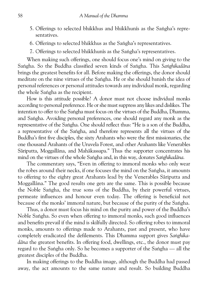- 5. Offerings to selected bhikkhus and bhikkhunīs as the Saṅgha's representatives.
- 6. Offerings to selected bhikkhus as the Sangha's representatives.
- 7. Offerings to selected bhikkhunīs as the Saṅgha's representatives.

When making such offerings, one should focus one's mind on giving to the Sangha. So the Buddha classified seven kinds of Sangha. This Sanghikadāna brings the greatest benefits for all. Before making the offerings, the donor should meditate on the nine virtues of the Sangha. He or she should banish the idea of personal references or personal attitudes towards any individual monk, regarding the whole Sangha as the recipient.

How is this attitude possible? A donor must not choose individual monks according to personal preference. He or she must suppress any likes and dislikes. The intention to offer to the Saṅgha must focus on the virtues of the Buddha, Dhamma, and Sangha. Avoiding personal preferences, one should regard any monk as the representative of the Sangha. One should reflect thus: "He is a son of the Buddha, a representative of the Sangha, and therefore represents all the virtues of the Buddha's first five disciples, the sixty Arahants who were the first missionaries, the one thousand Arahants of the Uruvela Forest, and other Arahants like Venerables Sāriputta, Moggallāna, and Mahākassapa." Thus the supporter concentrates his mind on the virtues of the whole Saṅgha and, in this way, donates Saṅghikadāna.

The commentary says, "Even in offering to immoral monks who only wear the robes around their necks, if one focuses the mind on the Saṅgha, it amounts to offering to the eighty great Arahants lead by the Venerables Særiputta and Moggallāna." The good results one gets are the same. This is possible because the Noble Sangha, the true sons of the Buddha, by their powerful virtues, permeate influences and honour even today. The offering is beneficial not because of the monks' immoral nature, but because of the purity of the Sangha.

Thus, a donor must focus his mind on the purity and power of the Buddha's Noble Sangha. So even when offering to immoral monks, such good influences and benefits prevail if the mind is skilfully directed. So offering robes to immoral monks, amounts to offerings made to Arahants, past and present, who have completely eradicated the defilements. This Dhamma support gives Sanghika*dæna* the greatest benefits. In offering food, dwellings, etc., the donor must pay regard to the Sangha only. So he becomes a supporter of the Sangha — all the greatest disciples of the Buddha.

In making offerings to the Buddha image, although the Buddha had passed away, the act amounts to the same nature and result. So building Buddha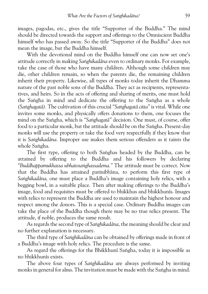images, pagodas, etc., gives the title "Supporter of the Buddha." The mind should be directed towards the support and offerings to the Omniscient Buddha himself who has passed away. So the title "Supporter of the Buddha" does not mean the image, but the Buddha himself.

With the devotional mind on the Buddha himself one can now set one's attitude correctly in making *Sanghikadāna* even to ordinary monks. For example, take the case of those who have many children. Although some children may die, other children remain, so when the parents die, the remaining children inherit their property. Likewise, all types of monks today inherit the Dhamma nature of the past noble sons of the Buddha. They act as recipients, representa tives, and heirs. So in the acts of offering and sharing of merits, one must hold the Sangha in mind and dedicate the offering to the Sangha as a whole *(Sanghagatā)*. The cultivation of this crucial "Sanghagatā citta" is vital. While one invites some monks, and physically offers donations to them, one focuses the mind on the Sangha, which is "Sanghagata" decision. One must, of course, offer food to a particular monk, but the attitude should be on the Sangha. Present-day monks will use the property or take the food very respectfully if they know that it is Sanghikadāna. Improper use makes them serious offenders as it taints the whole Sangha.

The first type, offering to both Saṅghas headed by the Buddha, can be attained by offering to the Buddha and his followers by declaring "Buddhappamukhassa ubhatosanghassadema." The attitude must be correct. Now that the Buddha has attained parinibbæna, to perform this first type of Sanghikadāna, one must place a Buddha's image containing holy relics, with a begging bowl, in a suitable place. Then after making offerings to the Buddha's image, food and requisites must be offered to bhikkhus and bhikkhunīs. Images with relics to represent the Buddha are used to maintain the highest honour and respect among the donors. This is a special case. Ordinary Buddha images can take the place of the Buddha though there may be no true relics present. The attitude, if noble, produces the same result.

As regards the second type of Sanghikadāna, the meaning should be clear and no further explanation is necessary.

The third type of *Sanghikadāna* can be obtained by offerings made in front of a Buddha's image with holy relics. The procedure is the same.

As regard the offerings for the Bhikkhunī Saṅgha, today it is impossible as no bhikkhunøs exists.

The above four types of *Sanghikadāna* are always performed by inviting monks in general for alms. The invitation must be made with the Sangha in mind.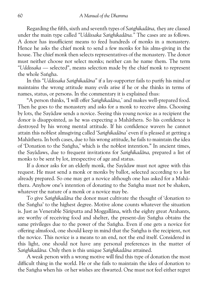Regarding the fifth, sixth and seventh types of Sanghikadāna, they are classed under the main type called "Uddissaka Sanghikadāna." The cases are as follows. A donor has insufficient means to feed hundreds of monks in a monastery. Hence he asks the chief monk to send a few monks for his alms-giving in the house. The chief monk then selects representatives of the monastery. The donor must neither choose nor select monks; neither can he name them. The term *"Uddissaka* — selected", means selection made by the chief monk to represent the whole Sangha.

In this "Uddissaka Sanghikadāna" if a lay-supporter fails to purify his mind or maintains the wrong attitude many evils arise if he or she thinks in terms of names, status, or persons. In the commentary it is explained thus:

"A person thinks, 'I will offer Sanghikadāna,' and makes well-prepared food. Then he goes to the monastery and asks for a monk to receive alms. Choosing by lots, the Sayædaw sends a novice. Seeing this young novice as a recipient the donor is disappointed, as he was expecting a Mahæthera. So his confidence is destroyed by his wrong mental attitude. If his confidence wavers he cannot attain this noblest almsgiving called 'Sanghikadāna' even if is pleased at getting a Mahæthera. In both cases, due to his wrong attitude, he fails to maintain the idea of 'Donation to the Sangha,' which is the noblest intention." In ancient times, the Savādaws, due to frequent invitations for Sanghikadāna, prepared a list of monks to be sent by lot, irrespective of age and status.

If a donor asks for an elderly monk, the Sayædaw must not agree with this request. He must send a monk or monks by ballot, selected according to a list already prepared. So one may get a novice although one has asked for a Mahæ thera. Anyhow one's intention of donating to the Sangha must not be shaken, whatever the nature of a monk or a novice may be.

To give Sanghikadāna the donor must cultivate the thought of 'donation to the Sangha' to the highest degree. Motive alone counts whatever the situation is. Just as Venerable Sāriputta and Moggallāna, with the eighty great Arahants, are worthy of receiving food and shelter, the present-day Saṅgha obtains the same privileges due to the power of the Sangha. Even if one gets a novice for offering almsfood, one should keep in mind that the Saṅgha is the recipient, not the novice. This novice is a means to an end, not the end itself. Considered in this light, one should not have any personal preferences in the matter of Sanghikadāna. Only then is this unique Sanghikadāna attained.

A weak person with a wrong motive will find this type of donation the most difficult thing in the world. He or she fails to maintain the idea of donation to the Saṅgha when his or her wishes are thwarted. One must not feel either regret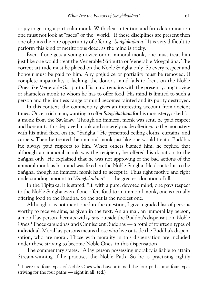or joy in getting a particular monk. With clear intention and firm determination one must not look at "faces" or the "world." If these disciplines are present then one obtains the rare opportunity of offering "Sanghikadāna." It is very difficult to perform this kind of meritorious deed, as the mind is tricky.

Even if one gets a young novice or an immoral monk, one must treat him just like one would treat the Venerable Sāriputta or Venerable Moggallāna. The correct attitude must be placed on the Noble Saṅgha only. So every respect and honour must be paid to him. Any prejudice or partiality must be removed. If complete impartiality is lacking, the donor's mind fails to focus on the Noble Ones like Venerable Særiputta. His mind remains with the present young novice or shameless monk to whom he has to offer food. His mind is limited to such a person and the limitless range of mind becomes tainted and its purity destroyed.

In this context, the commentary gives an interesting account from ancient times. Once a rich man, wanting to offer Sanghikadāna for his monastery, asked for a monk from the Sayædaw. Though an immoral monk was sent, he paid respect and honour to this depraved monk and sincerely made offerings to the monastery with his mind fixed on the "Saṅgha." He presented ceiling cloths, curtains, and carpets. Then he treated the immoral monk just like one would treat a Buddha. He always paid respects to him. When others blamed him, he replied that although an immoral monk was the recipient, he offered his donation to the Sangha only. He explained that he was not approving of the bad actions of the immoral monk as his mind was fixed on the Noble Sangha. He donated it to the Sangha, though an immoral monk had to accept it. Thus right motive and right understanding amount to "Sanghikadāna" — the greatest donation of all.

In the Tipitaka, it is stated: "If, with a pure, devoted mind, one pays respect to the Noble Sangha even if one offers food to an immoral monk, one is actually offering food to the Buddha. So the act is the noblest one."

Although it is not mentioned in the question, I give a graded list of persons worthy to receive alms, as given in the text. An animal, an immoral lay person, a moral lay person, hermits with*jhæna* outside the Buddha's dispensation, Noble Ones,1 Paccekabuddhas and Omniscient Buddhas — a total of fourteen types of individual. Moral lay persons means those who live outside the Buddha's dispen sation, who are moral. Those with morality in this dispensation are included under those striving to become Noble Ones, in this dispensation.

The commentary states: "A lay person possessing morality is liable to attain Stream-winning if he practises the Noble Path. So he is practising rightly

 $1$  There are four types of Noble Ones who have attained the four paths, and four types striving for the four paths — eight in all. (ed.)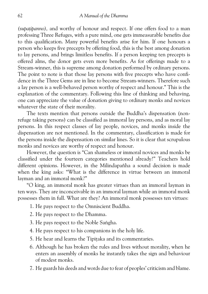*(supatipanno)*, and worthy of honour and respect. If one offers food to a man professing Three Refuges, with a pure mind, one gets immeasurable benefits due to this qualification. Many powerful benefits arise for him. If one honours a person who keeps five precepts by offering food, this is the best among donation to lay persons, and brings limitless benefits. If a person keeping ten precepts is offered alms, the donor gets even more benefits. As for offerings made to a Stream-winner, this is supreme among donation performed by ordinary persons. The point to note is that those lay persons with five precepts who have confi dence in the Three Gems are in line to become Stream-winners. Therefore such a lay person is a well-behaved person worthy of respect and honour." This is the explanation of the commentary. Following this line of thinking and behaving, one can appreciate the value of donation giving to ordinary monks and novices whatever the state of their morality.

The texts mention that persons outside the Buddha's dispensation (non refuge taking persons) can be classified as immoral lay persons, and as moral lay persons. In this respect classes of lay people, novices, and monks inside the dispensation are not mentioned. In the commentary, classification is made for the persons inside the dispensation on similar lines. So it is clear that scrupulous monks and novices are worthy of respect and honour.

However, the question is "Can shameless or immoral novices and monks be classified under the fourteen categories mentioned already?" Teachers hold different opinions. However, in the Milindapañha a sound decision is made when the king asks: "What is the difference in virtue between an immoral layman and an immoral monk?"

"O king, an immoral monk has greater virtues than an immoral layman in ten ways. They are inconceivable in an immoral layman while an immoral monk possesses them in full. What are they? An immoral monk possesses ten virtues:

- 1. He pays respect to the Omniscient Buddha.
- 2. He pays respect to the Dhamma.
- 3. He pays respect to the Noble Sangha.
- 4. He pays respect to his companions in the holy life.
- 5. He hear and learns the Tipitaka and its commentaries.
- 6. Although he has broken the rules and lives without morality, when he enters an assembly of monks he instantly takes the sign and behaviour of modest monks.
- 7. He guards his deeds and words due to fear of peoples' criticism and blame.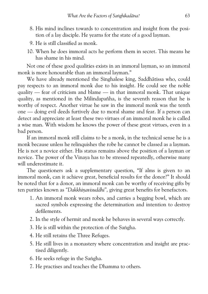- 8. His mind inclines towards to concentration and insight from the posi tion of a lay disciple. He yearns for the state of a good layman.
- 9. He is still classified as monk.
- 10. When he does immoral acts he perform them in secret. This means he has shame in his mind.

Not one of these good qualities exists in an immoral layman, so an immoral monk is more honourable than an immoral layman."

We have already mentioned the Singhalese king, Saddhātissa who, could pay respects to an immoral monk due to his insight. He could see the noble quality — fear of criticism and blame — in that immoral monk. That unique quality, as mentioned in the Milindapañha, is the seventh reason that he is worthy of respect. Another virtue he saw in the immoral monk was the tenth one — doing evil deeds furtively due to moral shame and fear. If a person can detect and appreciate at least these two virtues of an immoral monk he is called a wise man. With wisdom he knows the power of these great virtues, even in a bad person.

If an immoral monk still claims to be a monk, in the technical sense he is a monk because unless he relinquishes the robe he cannot be classed as a layman. He is not a novice either. His status remains above the position of a layman or novice. The power of the Vinaya has to be stressed repeatedly, otherwise many will underestimate it.

The questioners ask a supplementary question, "If alms is given to an immoral monk, can it achieve great, beneficial results for the donor?" It should be noted that for a donor, an immoral monk can be worthy of receiving gifts by ten purities known as "Dakkhinavisuddhi", giving great benefits for benefactors.

- 1. An immoral monk wears robes, and carries a begging bowl, which are sacred symbols expressing the determination and intention to destroy defilements.
- 2. In the style of hermit and monk he behaves in several ways correctly.
- 3. He is still within the protection of the Sangha.
- 4. He still retains the Three Refuges.
- 5. He still lives in a monastery where concentration and insight are prac tised diligently.
- 6. He seeks refuge in the Sangha.
- 7. He practises and teaches the Dhamma to others.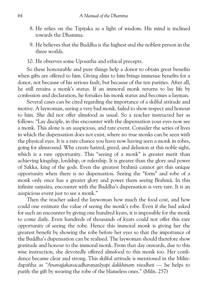- 8. He relies on the Tipitaka as a light of wisdom. His mind is inclined towards the Dhamma.
- 9. He believes that the Buddha is the highest and the noblest person in the three worlds.
- 10. He observes some Uposatha and ethical precepts.

So these honourable and pure things help a donor to obtain great benefits when gifts are offered to him. Giving alms to him brings immense benefits for a donor, not because of his serious fault, but because of the ten purities. After all, he still retains a monk's status. If an immoral monk returns to lay life by confession and declaration, he forsakes his monk status and becomes a layman.

Several cases can be cited regarding the importance of a skilful attitude and motive. A laywoman, seeing a very bad monk, failed to show respect and honour to him. She did not offer almsfood as usual. So a teacher instructed her as follows: "Lay disciple, in this encounter with the dispensation your eyes now see a monk. This alone is an auspicious, and rare event. Consider the series of lives in which the dispensation does not exist, where no true monks can be seen with the physical eyes. It is a rare chance you have now having seen a monk in robes, going for almsround. Why create hatred, greed, and delusion at this noble sight, which is a rare opportunity. This "seeing of a monk" is greater merit than achieving kingship, lordship, or rulership. It is greater than the glory and power of Sakka, king of the gods. Even the greatest brahmæ cannot get this unique opportunity when there is no dispensation. Seeing the "form" and robe of a monk only once has a greater glory and power them seeing Brahmæ. In this infinite samsāra, encounter with the Buddha's dispensation is very rare. It is an auspicious event just to see a monk."

Then the teacher asked the laywoman how much the food cost, and how could one estimate the value of seeing the monk's robe. Even if she had asked for such an encounter by giving one hundred kyats, it is impossible for the monk to come daily. Even hundreds of thousands of kyats could not offer this rare opportunity of seeing the robe. Hence this immoral monk is giving her the greatest benefit by showing the robe before her eyes so that the importance of the Buddha's dispensation can be realised. The laywoman should therefore show gratitude and honour to the immoral monk. From that day onwards, due to this wise instruction, she devotedly offered almsfood to this monk too. Her confi dence became clear and strong. This skilful attitude is mentioned in the Milin dapañha as "Anavajjakavacadharanatāyapi dakkhinam visodheti — he helps to purify the gift by wearing the robe of the blameless ones." (Miln. 257)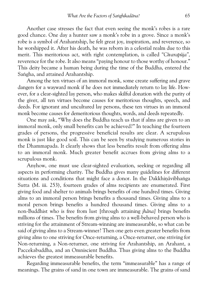Another case stresses the fact that even seeing the monk's robes is a rare good chance. One day a hunter saw a monk's robe in a grove. Since a monk's robe is a symbol of Arahantship, he felt great joy, inspiration, and reverence, so he worshipped it. After his death, he was reborn in a celestial realm due to this merit. This meritorious act, with right contemplation, is called "Cīvarapūja", reverence for the robe. It also means "paying honour to those worthy of honour." This deity became a human being during the time of the Buddha, entered the Saṅgha, and attained Arahantship.

Among the ten virtues of an immoral monk, some create suffering and grave dangers for a wayward monk if he does not immediately return to lay life. How ever, for a clear-sighted lay person, who makes skilful donation with the purity of the giver, all ten virtues become causes for meritorious thoughts, speech, and deeds. For ignorant and uncultured lay persons, these ten virtues in an immoral monk become causes for demeritorious thoughts, words, and deeds repeatedly.

One may ask, "Why does the Buddha teach us that if alms are given to an immoral monk, only small benefits can be achieved?" In teaching the fourteen grades of persons, the progressive beneficial results are clear. A scrupulous monk is just like good soil. This can be seen by studying numerous stories in the Dhammapada. It clearly shows that less benefits result from offering alms to an immoral monk. Much greater benefit accrues from giving alms to a scrupulous monk.

Anyhow, one must use clear-sighted evaluation, seeking or regarding all aspects in performing charity. The Buddha gives many guidelines for different situations and conditions that might face a donor. In the Dakkhināvibhanga Sutta (M. iii. 253), fourteen grades of alms recipients are enumerated. First giving food and shelter to animals brings benefits of one hundred times. Giving alms to an immoral person brings benefits a thousand times. Giving alms to a moral person brings benefits a hundred thousand times. Giving alms to a non-Buddhist who is free from lust [through attaining*jhæna]* brings benefits millions of times. The benefits from giving alms to a well-behaved person who is striving for the attainment of Stream-winning are immeasurable, so what can be said of giving alms to a Stream-winner? Then one gets even greater benefits from giving alms to one striving for Once-returning, a Once-returner, one striving for Non-returning, a Non-returner, one striving for Arahantship, an Arahant, a Paccekabuddha, and an Omniscient Buddha. Thus giving alms to the Buddha achieves the greatest immeasurable benefits.

Regarding immeasurable benefits, the term "immeasurable" has a range of meanings. The grains of sand in one town are immeasurable. The grains of sand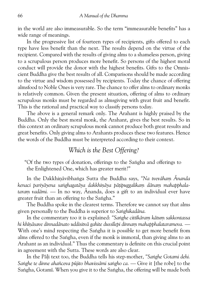in the world are also immeasurable. So the term "immeasurable benefits" has a wide range of meanings.

In the progressive list of fourteen types of recipients, gifts offered to each type have less benefit than the next. The results depend on the virtue of the recipient. Compared with the results of giving alms to a shameless person, giving to a scrupulous person produces more benefit. So persons of the highest moral conduct will provide the donor with the highest benefits. Gifts to the Omnis cient Buddha give the best results of all. Comparisons should be made according to the virtue and wisdom possessed by recipients. Today the chance of offering almsfood to Noble Ones is very rare. The chance to offer alms to ordinary monks is relatively common. Given the present situation, offering of alms to ordinary scrupulous monks must be regarded as almsgiving with great fruit and benefit. This is the rational and practical way to classify persons today.

The above is a general remark only. The Arahant is highly praised by the Buddha. Only the best moral monk, the Arahant, gives the best results. So in this context an ordinary scrupulous monk cannot produce both great results and great benefits. Only giving alms to Arahants produces these two features. Hence the words of the Buddha must be interpreted according to their context.

## *Which is the Best Offering?*

"Of the two types of donation, offerings to the Sangha and offerings to the Enlightened One, which has greater merit?"

In the Dakkhināvibhanga Sutta the Buddha says, "Na tvevāham Ānanda kenaci pariyāyena saṅghagatāya dakkhināya pātipuggalikam dānam mahapphala*taram vadāmi.* — In no way, Ānanda, does a gift to an individual ever have greater fruit than an offering to the Saṅgha."

The Buddha spoke in the clearest terms. Therefore we cannot say that alms given personally to the Buddha is superior to Sanghikadāna.

In the commentary too it is explained: "Sanghe cittikāram kātum sakkontassa *hi khø¼æsave dinnadænato uddisitvæ gahite dussølepi dinnaµ mahapphalatarameva.* — With one's mind respecting the Sangha it is possible to get more benefit from alms offered to the Sangha, even if the monk is immoral, than giving alms to an Arahant as an individual." Thus the commentary is definite on this crucial point in agreement with the Sutta. These words are also clear.

In the Pāli text too, the Buddha tells his step-mother, "Sanghe Gotami dehi. Sanghe te dinne ahañceva pūjito bhavissāmi sangho ca. — Give it [the robe] to the Sangha, Gotamī. When you give it to the Sangha, the offering will be made both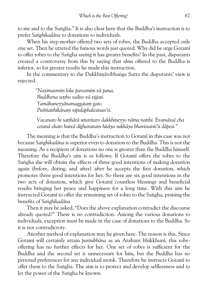to me and to the Saṅgha." It is also clear here that the Buddha's instruction is to prefer *Sanghikadāna* to donations to individuals.

When his step-mother offered two sets of robes, the Buddha accepted only one set. Then he uttered the famous words just quoted. Why did he urge Gotami to offer robes to the Sangha saying it has greater benefits? In the past, disputants created a controversy from this by saying that alms offered to the Buddha is inferior, so for greater results he made this instruction.

In the commentary to the Dakkhināvibhaṅga Sutta the disputants' view is rejected.

> *"Nayimasmiµ loke parasmiµ væ pana,* Buddhena settho sadiso vā vijjati. *Yamæhuneyyænamaggataµ gato. Puññatthikænaµ vipulaphalesinan'ti.*

 *Vacanato hi satthæræ uttaritaro dakkhi¼eyyo næma natthi. Evamæssæ cha cetanæ ekato hutvæ døgharattaµ hitæya sukhæya bhavissanti'ti dæpesi."*

The meaning is that the Buddha's instruction to Gotami in this case was not because*Sa³ghikadæna* is superior even to donation to the Buddha. This is not the meaning. As a recipient of donations no one is greater than the Buddha himself. Therefore the Buddha's aim is as follows: If Gotami offers the robes to the Sangha she will obtain the effects of three good intentions of making donation again (before, during, and after) after he accepts the first donation, which promotes three good intentions for her. So there are six good intentions in the two acts of donation, which give Gotami countless blessings and beneficial results bringing her peace and happiness for a long time. With this aim he instructed Gotami to offer the remaining set of robes to the Sangha, praising the benefits of Sanghikadāna.

Then it may be asked, "Does the above explanation contradict the discourse already quoted?" There is no contradiction. Among the various donations to individuals, exception must be made in the case of donations to the Buddha. So it is not contradictory.

Another method of explanation may he given here. The reason is this. Since Gotamī will certainly attain *parinibbāna* as an Arahant bhikkhunī, this robeoffering has no further effects for her. One set of robes is sufficient for the Buddha and the second set is unnecessary for him, but the Buddha has no personal preferences for any individual monk. Therefore he instructs Gotami to offer them to the Saṅgha. The aim is to protect and develop selflessness and to let the power of the Sangha be known.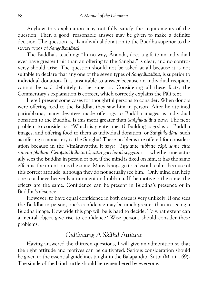Anyhow this explanation may not fully satisfy the requirements of the question. Then a good, reasonable answer may be given to make a definite decision. The question is, "Is individual donation to the Buddha superior to the seven types of *Sanghikadāna*?

The Buddha's teaching: "In no way, Ānanda, does a gift to an individual ever have greater fruit than an offering to the Sangha." is clear, and no controversy should arise. The question should not be asked at all because it is not suitable to declare that any one of the seven types of *Sanghikadāna*, is superior to individual donation. It is unsuitable to answer because an individual recipient cannot be said definitely to be superior. Considering all these facts, the Commentary's explanation is correct, which correctly explains the Pali text.

Here I present some cases for thoughtful persons to consider. When donors were offering food to the Buddha, they saw him in person. After he attained parinibbæna, many devotees made offerings to Buddha images as individual donation to the Buddha. Is this merit greater than Sanghikadana now? The next problem to consider is: "Which is greater merit? Building pagodas or Buddha images, and offering food to them as individual donation, or Sanghikadāna such as offering a monastery to the Sangha? These problems are offered for consideration because in the Vimānavatthu it says: "Titthante nibbute cāpi, same citte samam phalam. Cetopanidhihetu hi, sattā gacchanti suggatim — whether one actually sees the Buddha in person or not, if the mind is fixed on him, it has the same effect as the intention is the same. Many beings go to celestial realms because of this correct attitude, although they do not actually see him." Only mind can help one to achieve heavenly attainment and nibbæna. If the motive is the same, the effects are the same. Confidence can be present in Buddha's presence or in Buddha's absence.

However, to have equal confidence in both cases is very unlikely. If one sees the Buddha in person, one's confidence may be much greater than in seeing a Buddha image. How wide this gap will be is hard to decide. To what extent can a mental object give rise to confidence? Wise persons should consider these problems.

# *Cultivating A Skilful Attitude*

Having answered the thirteen questions, I will give an admonition so that the right attitude and motives can be cultivated. Serious consideration should be given to the essential guidelines taught in the Bālapandita Sutta (M. iii. 169). The simile of the blind turtle should be remembered by everyone.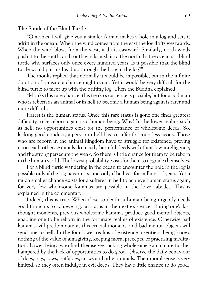#### **The Simile of the Blind Turtle**

"O monks, I will give you a simile: A man makes a hole in a log and sets it adrift in the ocean. When the wind comes from the east the log drifts westwards. When the wind blows from the west, it drifts eastward. Similarly, north winds push it to the south, and south winds push it to the north. In the ocean is a blind turtle who surfaces only once every hundred years. Is it possible that the blind turtle would put his head up through the hole in the log?"

The monks replied that normally it would be impossible, but in the infinite duration of samsāra a chance might occur. Yet it would be very difficult for the blind turtle to meet up with the drifting log. Then the Buddha explained.

"Monks this rare chance, this freak occurrence is possible, but for a bad man who is reborn as an animal or in hell to become a human being again is rarer and more difficult."

Rarest is the human status. Once this rare status is gone one finds greatest difficulty to be reborn again as a human being. Why? In the lower realms such as hell, no opportunities exist for the performance of wholesome deeds. So, lacking good conduct, a person in hell has to suffer for countless aeons. Those who are reborn in the animal kingdom have to struggle for existence, preying upon each other. Animals do mostly harmful deeds with their low intelligence, and the strong persecute the weak. So there is little chance for them to be reborn in the human world. The lowest probability exists for them to upgrade themselves.

For a blind turtle wandering in the ocean to encounter the hole in the log is possible only if the log never rots, and only if he lives for millions of years. Yet a much smaller chance exists for a sufferer in hell to achieve human status again, for very few wholesome kammas are possible in the lower abodes. This is explained in the commentary.

Indeed, this is true. When close to death, a human being urgently needs good thoughts to achieve a good status in the next existence. During one's last thought moments, previous wholesome kammas produce good mental objects, enabling one to be reborn in the fortunate realms of existence. Otherwise bad kammas will predominate at this crucial moment, and bad mental objects will send one to hell. In the four lower realms of existence a sentient being knows nothing of the value of almsgiving, keeping moral precepts, or practising medita tion. Lower beings who find themselves lacking wholesome kamma are further hampered by the lack of opportunities to do good. Observe the daily behaviour of dogs, pigs, cows, buffaloes, crows and other animals. Their moral sense is very limited, so they often indulge in evil deeds. They have little chance to do good.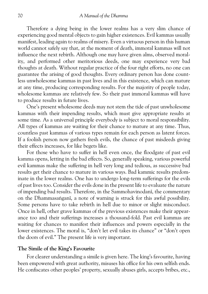Therefore a dying being in the lower realms has a very slim chance of experiencing good mental objects to gain higher existences. Evil kammas usually manifest, leading again to realms of misery. Even a virtuous person in this human world cannot safely say that, at the moment of death, immoral kammas will not influence the next rebirth. Although one may have given alms, observed moral ity, and performed other meritorious deeds, one may experience very bad thoughts at death. Without regular practice of the four right efforts, no one can guarantee the arising of good thoughts. Every ordinary person has done count less unwholesome kammas in past lives and in this existence, which can mature at any time, producing corresponding results. For the majority of people today, wholesome kammas are relatively few. So their past immoral kammas will have to produce results in future lives.

One's present wholesome deeds may not stem the tide of past unwholesome kammas with their impending results, which must give appropriate results at some time. As a universal principle everybody is subject to moral responsibility. All types of kammas are waiting for their chance to mature at any time. Thus, countless past kammas of various types remain for each person as latent forces. If a foolish person now gathers fresh evils, the chance of past misdeeds giving their effects increases, for like begets like.

For those who have to suffer in hell even once, the floodgate of past evil kamma opens, letting in the bad effects. So, generally speaking, various powerful evil kammas make the suffering in hell very long and tedious, as successive bad results get their chance to mature in various ways. Bad kammic results predom inate in the lower realms. One has to undergo long-term sufferings for the evils of past lives too. Consider the evils done in the present life to evaluate the nature of impending bad results. Therefore, in the Sammohavinodani, the commentary on the Dhammasangani, a note of warning is struck for this awful possibility. Some persons have to take rebirth in hell due to minor or slight misconduct. Once in hell, other grave kammas of the previous existences make their appear ance too and their sufferings increases a thousand-fold. Past evil kammas are waiting for chances to manifest their influences and powers especially in the lower existences. The moral is, "don't let evil takes its chance" or "don't open the doors of evil." The present life is very important.

## **The Simile of the King's Favourite**

For clearer understanding a simile is given here. The king's favourite, having been empowered with great authority, misuses his office for his own selfish ends. He confiscates other peoples' property, sexually abuses girls, accepts bribes, etc.,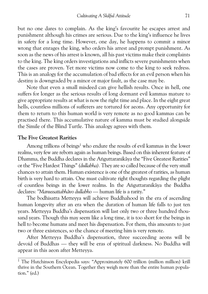but no one dares to complain. As the king's favourite he escapes arrest and punishment although his crimes are serious. Due to the king's influence he lives in safety for a long time. However, one day, he happens to commit a minor wrong that enrages the king, who orders his arrest and prompt punishment. As soon as the news of his arrest is known, all his past victims make their complaints to the king. The king orders investigations and inflicts severe punishments when the cases are proven. Yet more victims now come to the king to seek redress. This is an analogy for the accumulation of bad effects for an evil person when his destiny is downgraded by a minor or major fault, as the case may be.

Note that even a small misdeed can give hellish results. Once in hell, one suffers for longer as the serious results of long dormant evil kammas mature to give appropriate results at what is now the right time and place. In the eight great hells, countless millions of sufferers are tortured for aeons. Any opportunity for them to return to this human world is very remote as no good kammas can be practised there. This accumulative nature of kamma must be studied alongside the Simile of the Blind Turtle. This analogy agrees with them.

## **The Five Greatest Rarities**

Among trillions of beings<sup>1</sup> who endure the results of evil kammas in the lower realms, very few are reborn again as human beings. Based on this inherent feature of Dhamma, the Buddha declares in the Anguttaranikāya the "Five Greatest Rarities" or the "Five Hardest Things"*(dullabha).* They are so called because of the very small chances to attain them. Human existence is one of the greatest of rarities, as human birth is very hard to attain. One must cultivate right thoughts regarding the plight of countless beings in the lower realms. In the Anguttaranikaya the Buddha declares:*"Manussattabhævo dullabho* — human life is a rarity."

The bodhisatta Metteyya will achieve Buddhahood in the era of ascending human longevity after an era when the duration of human life falls to just ten years. Metteyya Buddha's dispensation will last only two or three hundred thou sand years. Though this may seem like a long time, it is too short for the beings in hell to become humans and meet his dispensation. For them, this amounts to just two or three existences, so the chance of meeting him is very remote.

After Metteyya Buddha's dispensation, three succeeding aeons will be devoid of Buddhas — they will be eras of spiritual darkness. No Buddha will appear in this aeon after Metteyya.

<sup>&</sup>lt;sup>1</sup> The Hutchinson Encylopedia says: "Approximately 600 trillion (million million) krill thrive in the Southern Ocean. Together they weigh more than the entire human popula tion." (ed.)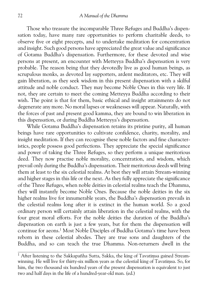Those who treasure the incomparable Three Refuges and Buddha's dispen sation today, have many rare opportunities to perform charitable deeds, to observe five or eight precepts, and to undertake meditation for concentration and insight. Such good persons have appreciated the great value and significance of Gotama Buddha's dispensation. Furthermore, for these devoted and wise persons at present, an encounter with Metteyya Buddha's dispensation is very probable. The reason being that they devotedly live as good human beings, as scrupulous monks, as devoted lay supporters, ardent meditators, etc. They will gain liberation, as they seek wisdom in this present dispensation with a skilful attitude and noble conduct. They may become Noble Ones in this very life. If not, they are certain to meet the coming Metteyya Buddha according to their wish. The point is that for them, basic ethical and insight attainments do not degenerate any more. No moral lapses or weaknesses will appear. Naturally, with the forces of past and present good kamma, they are bound to win liberation in this dispensation, or during Buddha Metteyya's dispensation.

While Gotama Buddha's dispensation retains its pristine purity, all human beings have rare opportunities to cultivate confidence, charity, morality, and insight meditation. If they can recognise these noble factors and fine character istics, people possess good perfections. They appreciate the special significance and power of taking the Three Refuges, so they perform a unique meritorious deed. They now practise noble morality, concentration, and wisdom, which prevail only during the Buddha's dispensation. Their meritorious deeds will bring them at least to the six celestial realms. At best they will attain Stream-winning and higher stages in this life or the next. As they fully appreciate the significance of the Three Refuges, when noble deities in celestial realms teach the Dhamma, they will instantly become Noble Ones. Because the noble deities in the six higher realms live for innumerable years, the Buddha's dispensation prevails in the celestial realms long after it is extinct in the human world. So a good ordinary person will certainly attain liberation in the celestial realms, with the four great moral efforts. For the noble deities the duration of the Buddha's dispensation on earth is just a few years, but for them the dispensation will continue for aeons.1 Most Noble Disciples of Buddha Gotama's time have been reborn in these celestial abodes. They are true sons and daughters of the Buddha, and so can teach the true Dhamma. Non-returners dwell in the

 $1$  After listening to the Sakkapañha Sutta, Sakka, the king of Tavatimsa gained Streamwinning. He will live for thirty-six million years as the celestial king of Tavatimsa. So, for him, the two thousand six hundred years of the present dispensation is equivalent to just two and half days in the life of a hundred-year-old man. (ed.)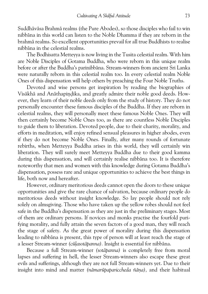Suddhāvāsa Brahmā realms (the Pure Abodes), so those disciples who fail to win nibbæna in this world can listen to the Noble Dhamma if they are reborn in the brahmæ realms. So excellent opportunities prevail for all true Buddhists to realise nibbæna in the celestial realms.

The Bodhisatta Metteyya is now living in the Tusita celestial realm. With him are Noble Disciples of Gotama Buddha, who were reborn in this unique realm before or after the Buddha's parinibbæna. Stream-winners from ancient Sri Lanka were naturally reborn in this celestial realm too. In every celestial realm Noble Ones of this dispensation will help others by preaching the Four Noble Truths.

Devoted and wise persons get inspiration by reading the biographies of Visākhā and Anāthapindika, and greatly admire their noble good deeds. However, they learn of their noble deeds only from the study of history. They do not personally encounter these famous disciples of the Buddha. If they are reborn in celestial realms, they will personally meet these famous Noble Ones. They will then certainly become Noble Ones too, as there are countless Noble Disciples to guide them to liberation. Devoted people, due to their charity, morality, and efforts in meditation, will enjoy refined sensual pleasures in higher abodes, even if they do not become Noble Ones. Finally, after many rounds of fortunate rebirths, when Metteyya Buddha arises in this world, they will certainly win liberation. They will surely meet Metteyya Buddha due to their good kamma during this dispensation, and will certainly realise nibbāna too. It is therefore noteworthy that men and women with this knowledge during Gotama Buddha's dispensation, possess rare and unique opportunities to achieve the best things in life, both now and hereafter.

However, ordinary meritorious deeds cannot open the doors to these unique opportunities and give the rare chance of salvation, because ordinary people do meritorious deeds without insight knowledge. So lay people should not rely solely on almsgiving. Those who have taken up the yellow robes should not feel safe in the Buddha's dispensation as they are just in the preliminary stages. Most of them are ordinary persons. If novices and monks practise the fourfold puri fying morality, and fully attain the seven factors of a good man, they will reach the stage of safety. As the great power of morality during this dispensation leading to nibbæna is present, this type of person will at least reach the stage of a lesser Stream-winner *(cūlasotāpanna)*. Insight is essential for nibbāna.

Because a full Stream-winner*(sotæpanna)* is completely free from moral lapses and suffering in hell, the lesser Stream-winners also escape these great evils and sufferings, although they are not full Stream-winners yet. Due to their insight into mind and matter (nāmarūpapariccheda ñāna), and their habitual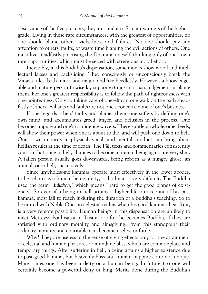observance of the five precepts, they are similar to Stream-winners of the highest grade. Living in these rare circumstances, with the greatest of opportunities, no one should blame others' wickedness and failures. No one should pay any attention to others' faults, or waste time blaming the evil actions of others. One must live steadfastly practising the Dhamma oneself, thinking only of one's own rare opportunities, which must be seized with strenuous moral effort.

Inevitably, in this Buddha's dispensation, some monks show moral and intel lectual lapses and backsliding. They consciously or unconsciously break the Vinaya rules, both minor and major, and live heedlessly. However, a knowledge able and mature person (a wise lay supporter) must not pass judgement or blame them. For one's greatest responsibility is to follow the path of righteousness with one-pointedness. Only by taking care of oneself can one walk on the path stead fastly. Others' evil acts and faults are not one's concern, none of one's business.

If one regards others' faults and blames them, one suffers by defiling one's own mind, and accumulates greed, anger, and delusion in the process. One becomes impure and one's confidence wavers. These subtle unwholesome deeds, will show their power when one is about to die, and will push one down to hell. One's own impurity in physical, vocal, and mental conduct can bring about hellish results at the time of death. The Pāli texts and commentaries consistently caution that once in hell, chances to become a human being again are very slim. A fallen person usually goes downwards, being reborn as a hungry ghost, an animal, or in hell, successively.

Since unwholesome kammas operate most effectively in the lower abodes, to be reborn as a human being, deity, or brahmā, is very difficult. The Buddha used the term*"dullabho,"* which means "hard to get the good planes of exist ence." So even if a being in hell attains a higher life on account of his past kamma, most fail to reach it during the duration of a Buddha's teaching. So to be united with Noble Ones in celestial realms when his good kammas bear fruit, is a very remote possibility. Human beings in this dispensation are unlikely to meet Metteyya bodhisatta in Tusita, or after he becomes Buddha, if they are satisfied with ordinary morality and almsgiving. From this standpoint their ordinary morality and charitable acts become useless or futile.

Why? They are useless in the sense of giving effects only for the attainment of celestial and human pleasures or mundane bliss, which are commonplace and temporary things. After suffering in hell, a being attains a higher existence due to past good kamma, but heavenly bliss and human happiness are not unique. Many times one has been a deity or a human being. In future too one will certainly become a powerful deity or king. Merits done during the Buddha's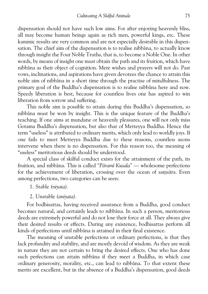dispensation should not have such low aims. For after enjoying heavenly bliss, all may become human beings again as rich men, powerful kings, etc. These kammic results are very common and are not especially desirable in this dispen sation. The chief aim of the dispensation is to realise nibbāna, to actually know through insight the Four Noble Truths, that is, to become a Noble One. In other words, by means of insight one must obtain the path and its fruition, which have nibbæna as their object of cognition. Mere wishes and prayers will not do. Past vows, inclinations, and aspirations have given devotees the chance to attain this noble aim of nibbæna in a short time through the practise of mindfulness. The primary goal of the Buddha's dispensation is to realise nibbāna here and now. Speedy liberation is best, because for countless lives one has aspired to win liberation from sorrow and suffering.

This noble aim is possible to attain during this Buddha's dispensation, so nibbæna must be won by insight. This is the unique feature of the Buddha's teaching. If one aims at mundane or heavenly pleasures, one will not only miss Gotama Buddha's dispensation, but also that of Metteyya Buddha. Hence the term "useless" is attributed to ordinary merits, which only lead to worldly joys. If one fails to meet Metteyya Buddha due to these reasons, countless aeons intervene when there is no dispensation. For this reason too, the meaning of "useless" meritorious deeds should be understood.

A special class of skilful conduct exists for the attainment of the path, its fruition, and nibbāna. This is called "Pāramī Kusala" — wholesome perfections for the achievement of liberation, crossing over the ocean of samsāra. Even among perfections, two categories can be seen:

- 1. Stable*(niyata).*
- 2. Unstable*(aniyata).*

For bodhisattas, having received assurance from a Buddha, good conduct becomes natural, and certainly leads to nibbāna. In such a person, meritorious deeds are extremely powerful and do not lose their force at all. They always give their desired results or effects. During any existence, bodhisattas perform all kinds of perfections until nibbæna is attained in their final existence.

The meaning of unstable perfections or ordinary perfections, is that they lack profundity and stability, and are mostly devoid of wisdom. As they are weak in nature they are not certain to bring the desired effects. One who has done such perfections can attain nibbāna if they meet a Buddha, in which case ordinary generosity, morality, etc., can lead to nibbana. To that extent these merits are excellent, but in the absence of a Buddha's dispensation, good deeds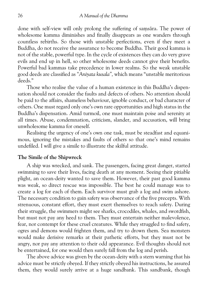done with self-view will only prolong the suffering of samsara. The power of wholesome kamma diminishes and finally disappears as one wanders through countless rebirths. So those with unstable perfections, even if they meet a Buddha, do not receive the assurance to become Buddha. Their good kamma is not of the stable, powerful type. In the cycle of existences they can do very grave evils and end up in hell, so other wholesome deeds cannot give their benefits. Powerful bad kammas take precedence in lower realms. So the weak unstable good deeds are classified as*"Aniyata kusala",* which means "unstable meritorious deeds."

Those who realise the value of a human existence in this Buddha's dispen sation should not consider the faults and defects of others. No attention should be paid to the affairs, shameless behaviour, ignoble conduct, or bad character of others. One must regard only one's own rare opportunities and high status in the Buddha's dispensation. Amid turmoil, one must maintain poise and serenity at all times. Abuse, condemnation, criticism, slander, and accusation, will bring unwholesome kamma for oneself.

Realising the urgency of one's own one task, must be steadfast and equani mous, ignoring the mistakes and faults of others so that one's mind remains undefiled. I will give a simile to illustrate the skilful attitude.

#### **The Simile of the Shipwreck**

A ship was wrecked, and sank. The passengers, facing great danger, started swimming to save their lives, facing death at any moment. Seeing their pitiable plight, an ocean-deity wanted to save them. However, their past good kamma was weak, so direct rescue was impossible. The best he could manage was to create a log for each of them. Each survivor must grab a log and swim ashore. The necessary condition to gain safety was observance of the five precepts. With strenuous, constant effort, they must exert themselves to reach safety. During their struggle, the swimmers might see sharks, crocodiles, whales, and swordfish, but must not pay any heed to them. They must entertain neither malevolence, fear, nor contempt for these cruel creatures. While they struggled to find safety, ogres and demons would frighten them, and try to drown them. Sea monsters would make derisive remarks at their pathetic efforts, but they must not be angry, nor pay any attention to their odd appearance. Evil thoughts should not be entertained, for one would then surely fall from the log and perish.

The above advice was given by the ocean-deity with a stern warning that his advice must be strictly obeyed. If they strictly obeyed his instructions, he assured them, they would surely arrive at a huge sandbank. This sandbank, though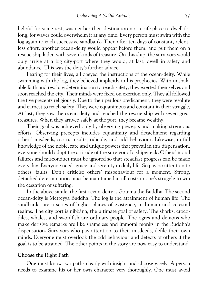helpful for some rest, was neither their destination nor a safe place to dwell for long, for waves could overwhelm it at any time. Every person must swim with the log again to each successive sandbank. Then after ten days of constant, relent less effort, another ocean-deity would appear before them, and put them on a rescue ship laden with seven kinds of treasure. On this ship, the survivors would duly arrive at a big city-port where they would, at last, dwell in safety and abundance. This was the deity's further advice.

Fearing for their lives, all obeyed the instructions of the ocean-deity. While swimming with the log, they believed implicitly in his prophecies. With unshak able faith and resolute determination to reach safety, they exerted themselves and soon reached the city. Their minds were fixed on exertion only. They all followed the five precepts religiously. Due to their perilous predicament, they were resolute and earnest to reach safety. They were equanimous and constant in their struggle, At last, they saw the ocean-deity and reached the rescue ship with seven great treasures. When they arrived safely at the port, they became wealthy.

Their goal was achieved only by observing precepts and making strenuous efforts. Observing precepts includes equanimity and detachment regarding others' misdeeds, scorn, insults, ridicule, and odd behaviour. Likewise, in full knowledge of the noble, rare and unique powers that prevail in this dispensation, everyone should adopt the attitude of the survivor of a shipwreck. Others' moral failures and misconduct must be ignored so that steadfast progress can be made every day. Everyone needs grace and serenity in daily life. So pay no attention to others' faults. Don't criticise others' misbehaviour for a moment. Strong, detached determination must be maintained at all costs in one's struggle to win the cessation of suffering.

In the above simile, the first ocean-deity is Gotama the Buddha. The second ocean-deity is Metteyya Buddha. The log is the attainment of human life. The sandbanks are a series of higher planes of existence, in human and celestial realms. The city port is nibbāna, the ultimate goal of safety. The sharks, crocodiles, whales, and swordfish are ordinary people. The ogres and demons who make derisive remarks are like shameless and immoral monks in the Buddha's dispensation. Survivors who pay attention to their misdeeds, defile their own minds. Everyone must overlook the odd behaviour and defects of others if the goal is to be attained. The other points in the story are now easy to understand.

#### **Choose the Right Path**

One must know two paths clearly with insight and choose wisely. A person needs to examine his or her own character very thoroughly. One must avoid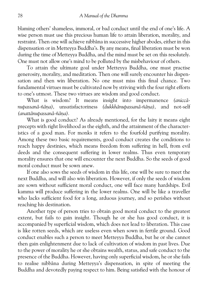blaming others' shameless, immoral, or bad conduct until the end of one's life. A wise person must use this precious human life to attain liberation, morality, and restraint. Then one will achieve nibbāna in successive higher abodes, either in this dispensation or in Metteyya Buddha's. By any means, final liberation must be won during the time of Metteyya Buddha, and the mind must be set on this resolutely. One must not allow one's mind to be polluted by the misbehaviour of others.

To attain the ultimate goal under Metteyya Buddha, one must practise generosity, morality, and meditation. Then one will surely encounter his dispen sation and then win liberation. No one must miss this final chance. Two fundamental virtues must be cultivated now by striving with the four right efforts to one's utmost. These two virtues are wisdom and good conduct.

What is wisdom? It means insight into impermanence *(aniccæ nupassanā-ñāna*), unsatisfactoriness *(dukkhānupassanā-ñāna)*, and not-self *(anattænupassanæ-ñæ¼a).*

What is good conduct? As already mentioned, for the laity it means eight precepts with right livelihood as the eighth, and the attainment of the character istics of a good man. For monks it refers to the fourfold purifying morality. Among these two basic requirements, good conduct creates the conditions to reach happy destinies, which means freedom from suffering in hell, from evil deeds and the consequent suffering in lower realms. Thus even temporary morality ensures that one will encounter the next Buddha. So the seeds of good moral conduct must be sown anew.

If one also sows the seeds of wisdom in this life, one will be sure to meet the next Buddha, and will also win liberation. However, if only the seeds of wisdom are sown without sufficient moral conduct, one will face many hardships. Evil kamma will produce suffering in the lower realms. One will be like a traveller who lacks sufficient food for a long, arduous journey, and so perishes without reaching his destination.

Another type of person tries to obtain good moral conduct to the greatest extent, but fails to gain insight. Though he or she has good conduct, it is accompanied by superficial wisdom, which does not lead to liberation. This case is like rotten seeds, which are useless even when sown in fertile ground. Good conduct enables such a person to meet Metteyya Buddha, but he or she cannot then gain enlightenment due to lack of cultivation of wisdom in past lives. Due to the power of morality he or she obtains wealth, status, and safe conduct to the presence of the Buddha. However, having only superficial wisdom, he or she fails to realise nibbæna during Metteyya's dispensation, in spite of meeting the Buddha and devotedly paying respect to him. Being satisfied with the honour of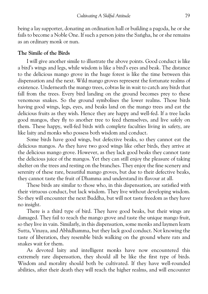being a lay supporter, donating an ordination hall or building a pagoda, he or she fails to become a Noble One. If such a person joins the Sangha, he or she remains as an ordinary monk or nun.

#### **The Simile of the Birds**

I will give another simile to illustrate the above points. Good conduct is like a bird's wings and legs, while wisdom is like a bird's eyes and beak. The distance to the delicious mango grove in the huge forest is like the time between this dispensation and the next. Wild mango groves represent the fortunate realms of existence. Underneath the mango trees, cobras lie in wait to catch any birds that fall from the trees. Every bird landing on the ground becomes prey to these venomous snakes. So the ground symbolises the lower realms. Those birds having good wings, legs, eyes, and beaks land on the mango trees and eat the delicious fruits as they wish. Hence they are happy and well-fed. If a tree lacks good mangos, they fly to another tree to feed themselves, and live safely on them. These happy, well-fed birds with complete faculties living in safety, are like laity and monks who possess both wisdom and conduct.

Some birds have good wings, but defective beaks, so they cannot eat the delicious mangos. As they have two good wings like other birds, they arrive at the delicious mango grove. However, as they lack good beaks they cannot taste the delicious juice of the mangos. Yet they can still enjoy the pleasure of taking shelter on the trees and resting on the branches. They enjoy the fine scenery and serenity of these rare, beautiful mango groves, but due to their defective beaks, they cannot taste the fruit of Dhamma and understand its flavour at all.

These birds are similar to those who, in this dispensation, are satisfied with their virtuous conduct, but lack wisdom. They live without developing wisdom. So they will encounter the next Buddha, but will not taste freedom as they have no insight.

There is a third type of bird. They have good beaks, but their wings are damaged. They fail to reach the mango grove and taste the unique mango fruit, so they live in vain. Similarly, in this dispensation, some monks and laymen learn Sutta, Vinaya, and Abhidhamma, but they lack good conduct. Not knowing the taste of liberation, they resemble birds walking on the ground where rats and snakes wait for them.

As devoted laity and intelligent monks have now encountered this extremely rare dispensation, they should all be like the first type of birds. Wisdom and morality should both be cultivated. If they have well-rounded abilities, after their death they will reach the higher realms, and will encounter